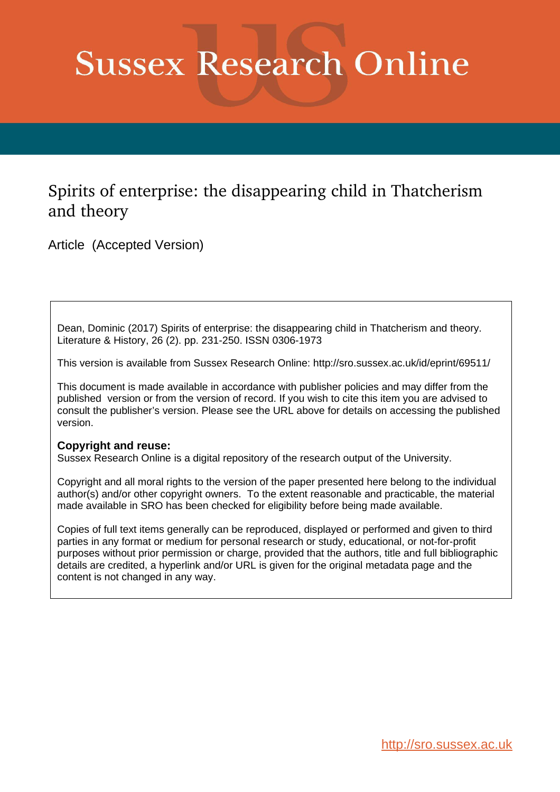# **Sussex Research Online**

## Spirits of enterprise: the disappearing child in Thatcherism and theory

Article (Accepted Version)

Dean, Dominic (2017) Spirits of enterprise: the disappearing child in Thatcherism and theory. Literature & History, 26 (2). pp. 231-250. ISSN 0306-1973

This version is available from Sussex Research Online: http://sro.sussex.ac.uk/id/eprint/69511/

This document is made available in accordance with publisher policies and may differ from the published version or from the version of record. If you wish to cite this item you are advised to consult the publisher's version. Please see the URL above for details on accessing the published version.

#### **Copyright and reuse:**

Sussex Research Online is a digital repository of the research output of the University.

Copyright and all moral rights to the version of the paper presented here belong to the individual author(s) and/or other copyright owners. To the extent reasonable and practicable, the material made available in SRO has been checked for eligibility before being made available.

Copies of full text items generally can be reproduced, displayed or performed and given to third parties in any format or medium for personal research or study, educational, or not-for-profit purposes without prior permission or charge, provided that the authors, title and full bibliographic details are credited, a hyperlink and/or URL is given for the original metadata page and the content is not changed in any way.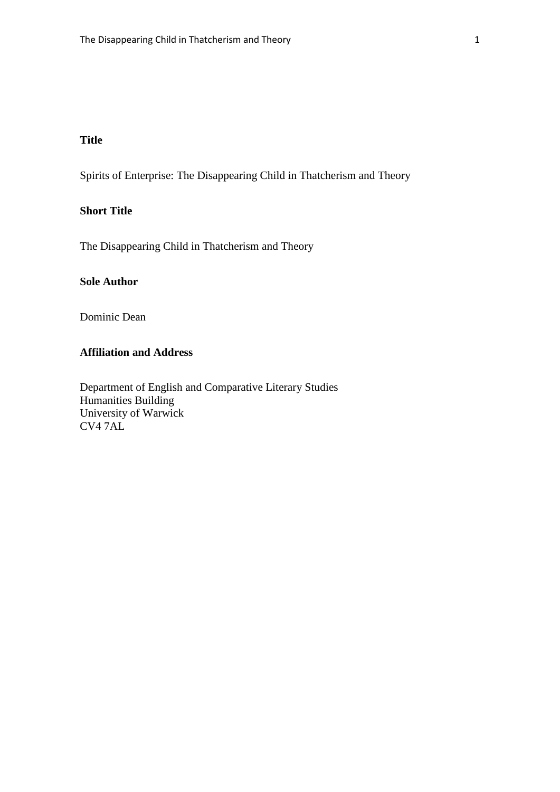### **Title**

Spirits of Enterprise: The Disappearing Child in Thatcherism and Theory

#### **Short Title**

The Disappearing Child in Thatcherism and Theory

#### **Sole Author**

Dominic Dean

#### **Affiliation and Address**

Department of English and Comparative Literary Studies Humanities Building University of Warwick CV4 7AL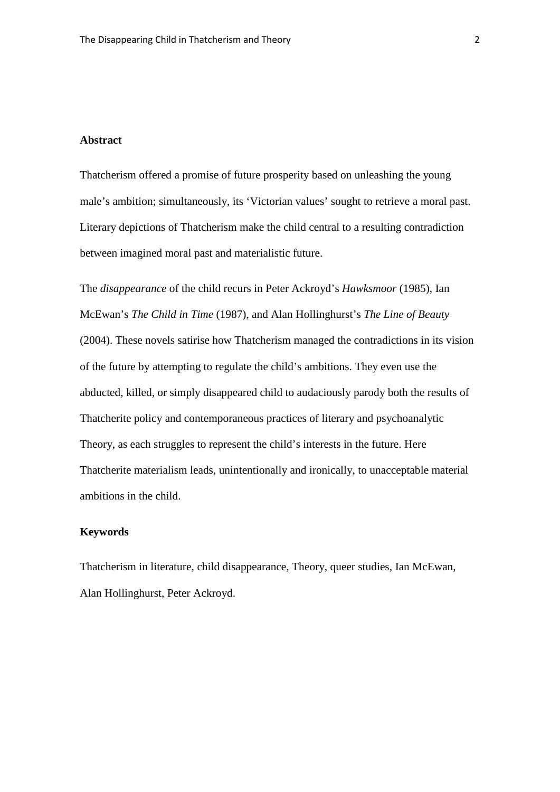#### **Abstract**

Thatcherism offered a promise of future prosperity based on unleashing the young male's ambition; simultaneously, its 'Victorian values' sought to retrieve a moral past. Literary depictions of Thatcherism make the child central to a resulting contradiction between imagined moral past and materialistic future.

The *disappearance* of the child recurs in Peter Ackroyd's *Hawksmoor* (1985), Ian McEwan's *The Child in Time* (1987), and Alan Hollinghurst's *The Line of Beauty*  (2004). These novels satirise how Thatcherism managed the contradictions in its vision of the future by attempting to regulate the child's ambitions. They even use the abducted, killed, or simply disappeared child to audaciously parody both the results of Thatcherite policy and contemporaneous practices of literary and psychoanalytic Theory, as each struggles to represent the child's interests in the future. Here Thatcherite materialism leads, unintentionally and ironically, to unacceptable material ambitions in the child.

#### **Keywords**

Thatcherism in literature, child disappearance, Theory, queer studies, Ian McEwan, Alan Hollinghurst, Peter Ackroyd.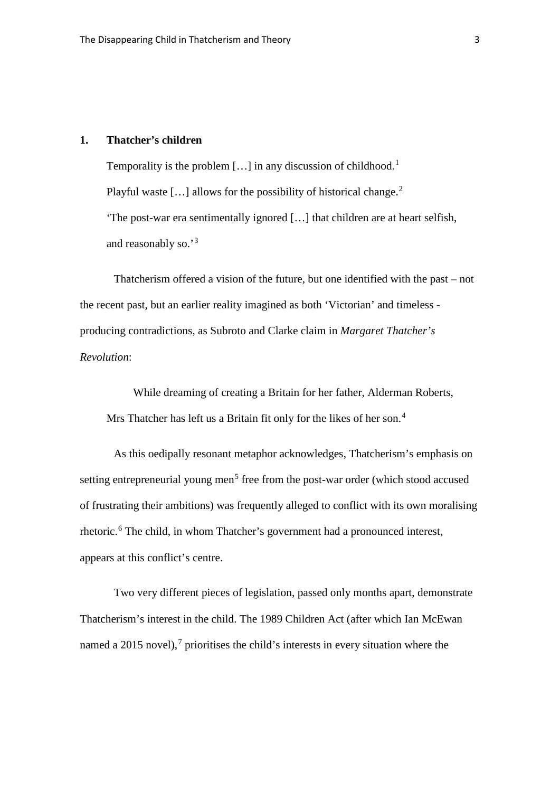#### **1. Thatcher's children**

Temporality is the problem [...] in any discussion of childhood.<sup>[1](#page-38-0)</sup> Playful waste [ $\dots$ ] allows for the possibility of historical change.<sup>[2](#page-38-1)</sup> 'The post-war era sentimentally ignored […] that children are at heart selfish, and reasonably so.'[3](#page-38-2)

Thatcherism offered a vision of the future, but one identified with the past – not the recent past, but an earlier reality imagined as both 'Victorian' and timeless producing contradictions, as Subroto and Clarke claim in *Margaret Thatcher's Revolution*:

While dreaming of creating a Britain for her father, Alderman Roberts, Mrs Thatcher has left us a Britain fit only for the likes of her son.<sup>[4](#page-38-3)</sup>

As this oedipally resonant metaphor acknowledges, Thatcherism's emphasis on setting entrepreneurial young men<sup>[5](#page-38-4)</sup> free from the post-war order (which stood accused of frustrating their ambitions) was frequently alleged to conflict with its own moralising rhetoric. [6](#page-38-5) The child, in whom Thatcher's government had a pronounced interest, appears at this conflict's centre.

Two very different pieces of legislation, passed only months apart, demonstrate Thatcherism's interest in the child. The 1989 Children Act (after which Ian McEwan named a 2015 novel),<sup>[7](#page-38-6)</sup> prioritises the child's interests in every situation where the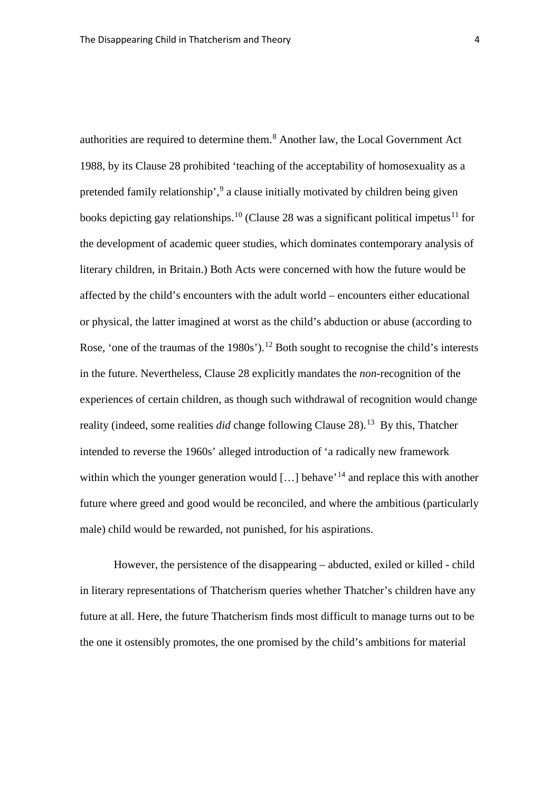authorities are required to determine them. [8](#page-38-7) Another law, the Local Government Act 1988, by its Clause 28 prohibited 'teaching of the acceptability of homosexuality as a pretended family relationship',<sup>[9](#page-38-8)</sup> a clause initially motivated by children being given books depicting gay relationships.<sup>[10](#page-38-9)</sup> (Clause 28 was a significant political impetus<sup>[11](#page-38-10)</sup> for the development of academic queer studies, which dominates contemporary analysis of literary children, in Britain.) Both Acts were concerned with how the future would be affected by the child's encounters with the adult world – encounters either educational or physical, the latter imagined at worst as the child's abduction or abuse (according to Rose, 'one of the traumas of the  $1980s$ ').<sup>[12](#page-38-11)</sup> Both sought to recognise the child's interests in the future. Nevertheless, Clause 28 explicitly mandates the *non*-recognition of the experiences of certain children, as though such withdrawal of recognition would change reality (indeed, some realities *did* change following Clause 28). [13](#page-38-12) By this, Thatcher intended to reverse the 1960s' alleged introduction of 'a radically new framework within which the younger generation would  $[...]$  behave<sup> $14$ </sup> and replace this with another future where greed and good would be reconciled, and where the ambitious (particularly male) child would be rewarded, not punished, for his aspirations.

However, the persistence of the disappearing – abducted, exiled or killed - child in literary representations of Thatcherism queries whether Thatcher's children have any future at all. Here, the future Thatcherism finds most difficult to manage turns out to be the one it ostensibly promotes, the one promised by the child's ambitions for material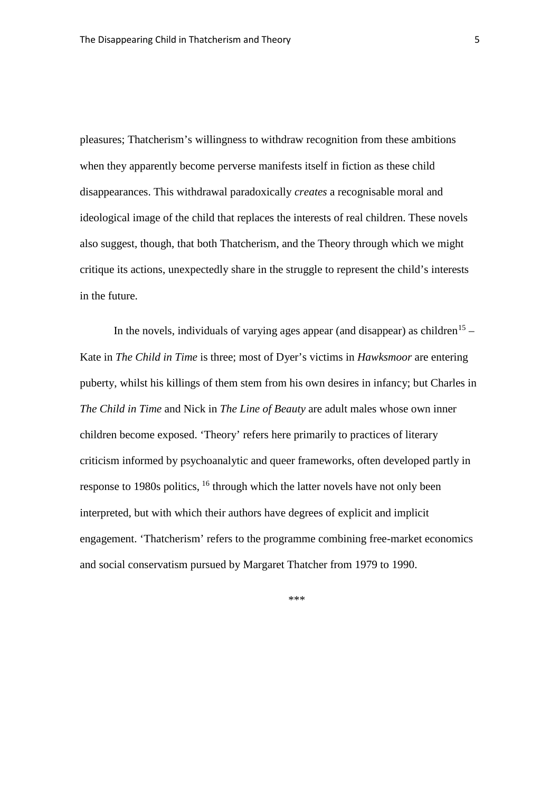pleasures; Thatcherism's willingness to withdraw recognition from these ambitions when they apparently become perverse manifests itself in fiction as these child disappearances. This withdrawal paradoxically *creates* a recognisable moral and ideological image of the child that replaces the interests of real children. These novels also suggest, though, that both Thatcherism, and the Theory through which we might critique its actions, unexpectedly share in the struggle to represent the child's interests in the future.

In the novels, individuals of varying ages appear (and disappear) as children<sup>[15](#page-38-14)</sup> – Kate in *The Child in Time* is three; most of Dyer's victims in *Hawksmoor* are entering puberty, whilst his killings of them stem from his own desires in infancy; but Charles in *The Child in Time* and Nick in *The Line of Beauty* are adult males whose own inner children become exposed. 'Theory' refers here primarily to practices of literary criticism informed by psychoanalytic and queer frameworks, often developed partly in response to 1980s politics, [16](#page-38-15) through which the latter novels have not only been interpreted, but with which their authors have degrees of explicit and implicit engagement. 'Thatcherism' refers to the programme combining free-market economics and social conservatism pursued by Margaret Thatcher from 1979 to 1990.

\*\*\*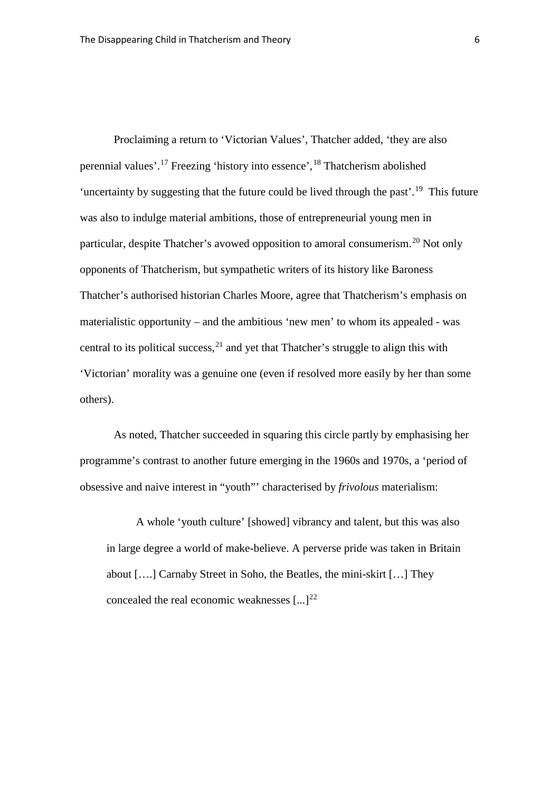Proclaiming a return to 'Victorian Values', Thatcher added, 'they are also perennial values'. [17](#page-38-16) Freezing 'history into essence', [18](#page-38-17) Thatcherism abolished 'uncertainty by suggesting that the future could be lived through the past'.<sup>[19](#page-38-18)</sup> This future was also to indulge material ambitions, those of entrepreneurial young men in particular, despite Thatcher's avowed opposition to amoral consumerism.<sup>[20](#page-38-19)</sup> Not only opponents of Thatcherism, but sympathetic writers of its history like Baroness Thatcher's authorised historian Charles Moore, agree that Thatcherism's emphasis on materialistic opportunity – and the ambitious 'new men' to whom its appealed - was central to its political success,  $2<sup>1</sup>$  and yet that Thatcher's struggle to align this with 'Victorian' morality was a genuine one (even if resolved more easily by her than some others).

As noted, Thatcher succeeded in squaring this circle partly by emphasising her programme's contrast to another future emerging in the 1960s and 1970s, a 'period of obsessive and naive interest in "youth"' characterised by *frivolous* materialism:

A whole 'youth culture' [showed] vibrancy and talent, but this was also in large degree a world of make-believe. A perverse pride was taken in Britain about [….] Carnaby Street in Soho, the Beatles, the mini-skirt […] They concealed the real economic weaknesses  $[...]^{22}$  $[...]^{22}$  $[...]^{22}$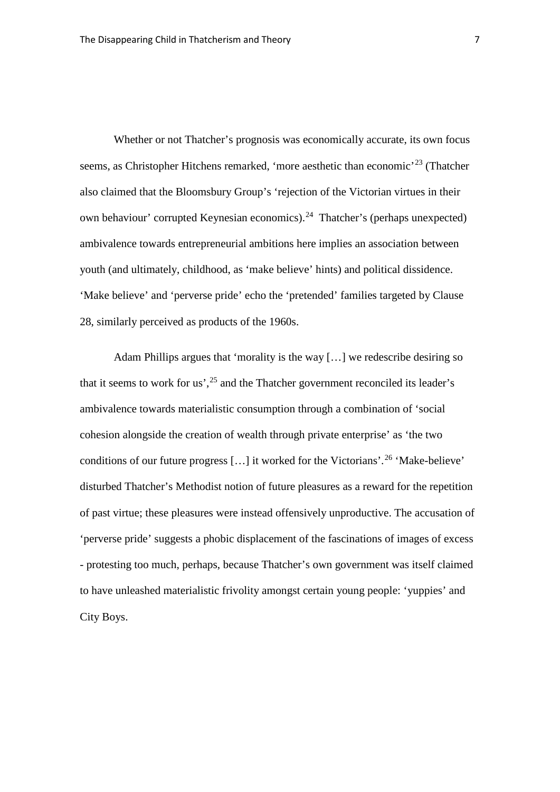Whether or not Thatcher's prognosis was economically accurate, its own focus seems, as Christopher Hitchens remarked, 'more aesthetic than economic'<sup>[23](#page-38-22)</sup> (Thatcher also claimed that the Bloomsbury Group's 'rejection of the Victorian virtues in their own behaviour' corrupted Keynesian economics).[24](#page-38-23) Thatcher's (perhaps unexpected) ambivalence towards entrepreneurial ambitions here implies an association between youth (and ultimately, childhood, as 'make believe' hints) and political dissidence. 'Make believe' and 'perverse pride' echo the 'pretended' families targeted by Clause 28, similarly perceived as products of the 1960s.

Adam Phillips argues that 'morality is the way […] we redescribe desiring so that it seems to work for us',<sup>[25](#page-38-24)</sup> and the Thatcher government reconciled its leader's ambivalence towards materialistic consumption through a combination of 'social cohesion alongside the creation of wealth through private enterprise' as 'the two conditions of our future progress […] it worked for the Victorians'. [26](#page-38-25) 'Make-believe' disturbed Thatcher's Methodist notion of future pleasures as a reward for the repetition of past virtue; these pleasures were instead offensively unproductive. The accusation of 'perverse pride' suggests a phobic displacement of the fascinations of images of excess - protesting too much, perhaps, because Thatcher's own government was itself claimed to have unleashed materialistic frivolity amongst certain young people: 'yuppies' and City Boys.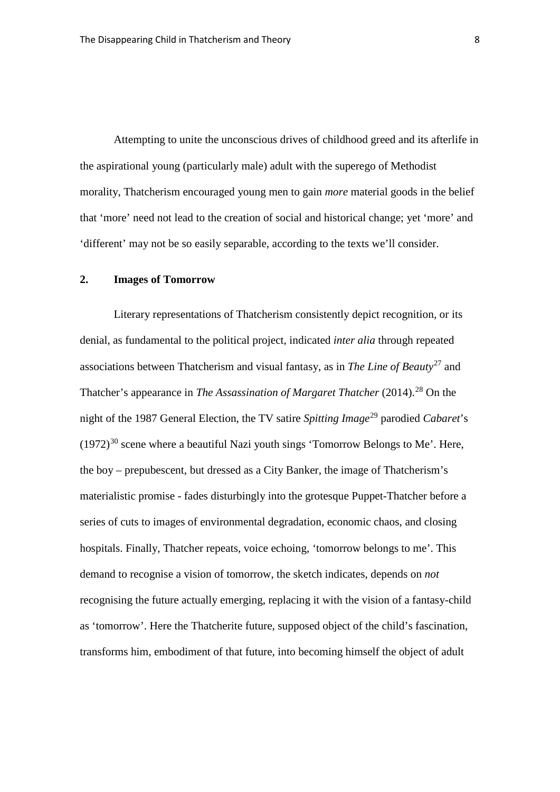Attempting to unite the unconscious drives of childhood greed and its afterlife in the aspirational young (particularly male) adult with the superego of Methodist morality, Thatcherism encouraged young men to gain *more* material goods in the belief that 'more' need not lead to the creation of social and historical change; yet 'more' and 'different' may not be so easily separable, according to the texts we'll consider.

#### **2. Images of Tomorrow**

Literary representations of Thatcherism consistently depict recognition, or its denial, as fundamental to the political project, indicated *inter alia* through repeated associations between Thatcherism and visual fantasy, as in *The Line of Beauty*[27](#page-38-26) and Thatcher's appearance in *The Assassination of Margaret Thatcher* (2014). [28](#page-39-0) On the night of the 1987 General Election, the TV satire *Spitting Image*[29](#page-39-1) parodied *Cabaret*'s  $(1972)^{30}$  $(1972)^{30}$  $(1972)^{30}$  scene where a beautiful Nazi youth sings 'Tomorrow Belongs to Me'. Here, the boy – prepubescent, but dressed as a City Banker, the image of Thatcherism's materialistic promise - fades disturbingly into the grotesque Puppet-Thatcher before a series of cuts to images of environmental degradation, economic chaos, and closing hospitals. Finally, Thatcher repeats, voice echoing, 'tomorrow belongs to me'. This demand to recognise a vision of tomorrow, the sketch indicates, depends on *not*  recognising the future actually emerging, replacing it with the vision of a fantasy-child as 'tomorrow'. Here the Thatcherite future, supposed object of the child's fascination, transforms him, embodiment of that future, into becoming himself the object of adult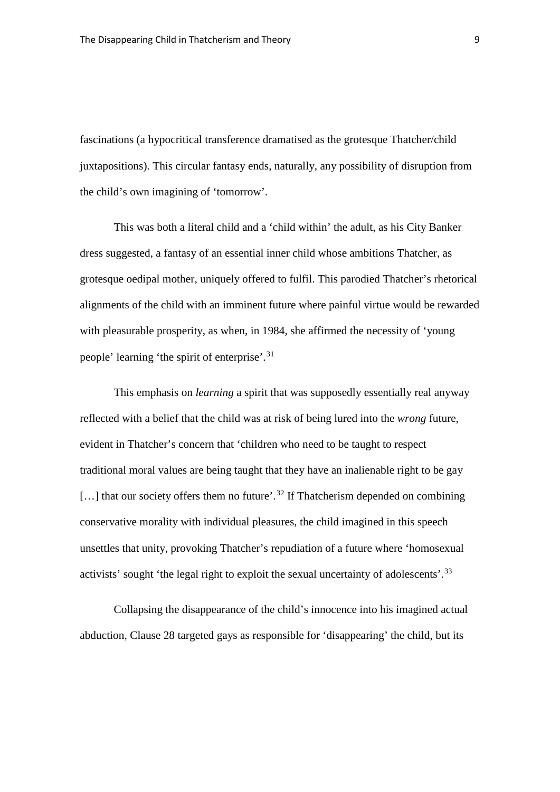fascinations (a hypocritical transference dramatised as the grotesque Thatcher/child juxtapositions). This circular fantasy ends, naturally, any possibility of disruption from the child's own imagining of 'tomorrow'.

This was both a literal child and a 'child within' the adult, as his City Banker dress suggested, a fantasy of an essential inner child whose ambitions Thatcher, as grotesque oedipal mother, uniquely offered to fulfil. This parodied Thatcher's rhetorical alignments of the child with an imminent future where painful virtue would be rewarded with pleasurable prosperity, as when, in 1984, she affirmed the necessity of 'young people' learning 'the spirit of enterprise'.<sup>[31](#page-39-3)</sup>

This emphasis on *learning* a spirit that was supposedly essentially real anyway reflected with a belief that the child was at risk of being lured into the *wrong* future, evident in Thatcher's concern that 'children who need to be taught to respect traditional moral values are being taught that they have an inalienable right to be gay [...] that our society offers them no future'.<sup>[32](#page-39-4)</sup> If Thatcherism depended on combining conservative morality with individual pleasures, the child imagined in this speech unsettles that unity, provoking Thatcher's repudiation of a future where 'homosexual activists' sought 'the legal right to exploit the sexual uncertainty of adolescents'.<sup>[33](#page-39-5)</sup>

Collapsing the disappearance of the child's innocence into his imagined actual abduction, Clause 28 targeted gays as responsible for 'disappearing' the child, but its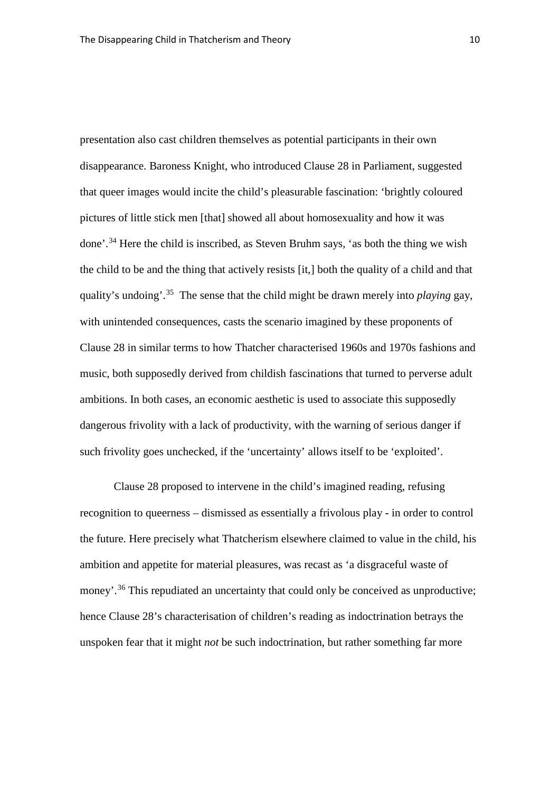presentation also cast children themselves as potential participants in their own disappearance. Baroness Knight, who introduced Clause 28 in Parliament, suggested that queer images would incite the child's pleasurable fascination: 'brightly coloured pictures of little stick men [that] showed all about homosexuality and how it was done'. [34](#page-39-6) Here the child is inscribed, as Steven Bruhm says, 'as both the thing we wish the child to be and the thing that actively resists [it,] both the quality of a child and that quality's undoing'. [35](#page-39-7) The sense that the child might be drawn merely into *playing* gay, with unintended consequences, casts the scenario imagined by these proponents of Clause 28 in similar terms to how Thatcher characterised 1960s and 1970s fashions and music, both supposedly derived from childish fascinations that turned to perverse adult ambitions. In both cases, an economic aesthetic is used to associate this supposedly dangerous frivolity with a lack of productivity, with the warning of serious danger if such frivolity goes unchecked, if the 'uncertainty' allows itself to be 'exploited'.

Clause 28 proposed to intervene in the child's imagined reading, refusing recognition to queerness – dismissed as essentially a frivolous play - in order to control the future. Here precisely what Thatcherism elsewhere claimed to value in the child, his ambition and appetite for material pleasures, was recast as 'a disgraceful waste of money'.<sup>[36](#page-39-8)</sup> This repudiated an uncertainty that could only be conceived as unproductive; hence Clause 28's characterisation of children's reading as indoctrination betrays the unspoken fear that it might *not* be such indoctrination, but rather something far more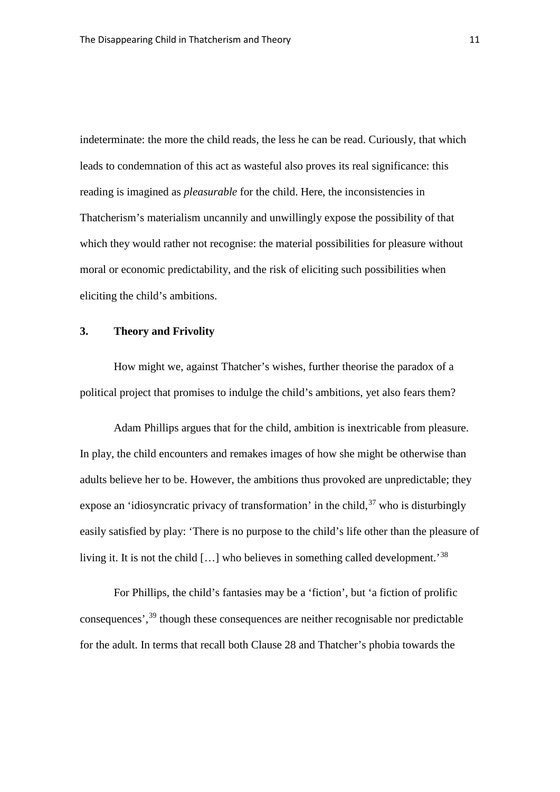indeterminate: the more the child reads, the less he can be read. Curiously, that which leads to condemnation of this act as wasteful also proves its real significance: this reading is imagined as *pleasurable* for the child. Here, the inconsistencies in Thatcherism's materialism uncannily and unwillingly expose the possibility of that which they would rather not recognise: the material possibilities for pleasure without moral or economic predictability, and the risk of eliciting such possibilities when eliciting the child's ambitions.

#### **3. Theory and Frivolity**

How might we, against Thatcher's wishes, further theorise the paradox of a political project that promises to indulge the child's ambitions, yet also fears them?

Adam Phillips argues that for the child, ambition is inextricable from pleasure. In play, the child encounters and remakes images of how she might be otherwise than adults believe her to be. However, the ambitions thus provoked are unpredictable; they expose an 'idiosyncratic privacy of transformation' in the child,<sup>[37](#page-39-9)</sup> who is disturbingly easily satisfied by play: 'There is no purpose to the child's life other than the pleasure of living it. It is not the child […] who believes in something called development.'[38](#page-39-10)

For Phillips, the child's fantasies may be a 'fiction', but 'a fiction of prolific consequences', [39](#page-39-11) though these consequences are neither recognisable nor predictable for the adult. In terms that recall both Clause 28 and Thatcher's phobia towards the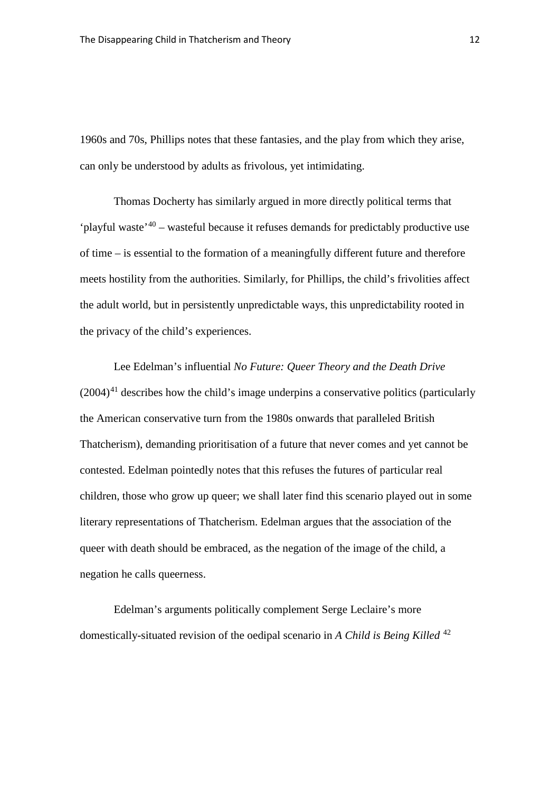1960s and 70s, Phillips notes that these fantasies, and the play from which they arise, can only be understood by adults as frivolous, yet intimidating.

Thomas Docherty has similarly argued in more directly political terms that 'playful waste<sup>'[40](#page-39-12)</sup> – wasteful because it refuses demands for predictably productive use of time – is essential to the formation of a meaningfully different future and therefore meets hostility from the authorities. Similarly, for Phillips, the child's frivolities affect the adult world, but in persistently unpredictable ways, this unpredictability rooted in the privacy of the child's experiences.

Lee Edelman's influential *No Future: Queer Theory and the Death Drive*   $(2004)^{41}$  $(2004)^{41}$  $(2004)^{41}$  describes how the child's image underpins a conservative politics (particularly the American conservative turn from the 1980s onwards that paralleled British Thatcherism), demanding prioritisation of a future that never comes and yet cannot be contested. Edelman pointedly notes that this refuses the futures of particular real children, those who grow up queer; we shall later find this scenario played out in some literary representations of Thatcherism. Edelman argues that the association of the queer with death should be embraced, as the negation of the image of the child, a negation he calls queerness.

Edelman's arguments politically complement Serge Leclaire's more domestically-situated revision of the oedipal scenario in *A Child is Being Killed* [42](#page-39-14)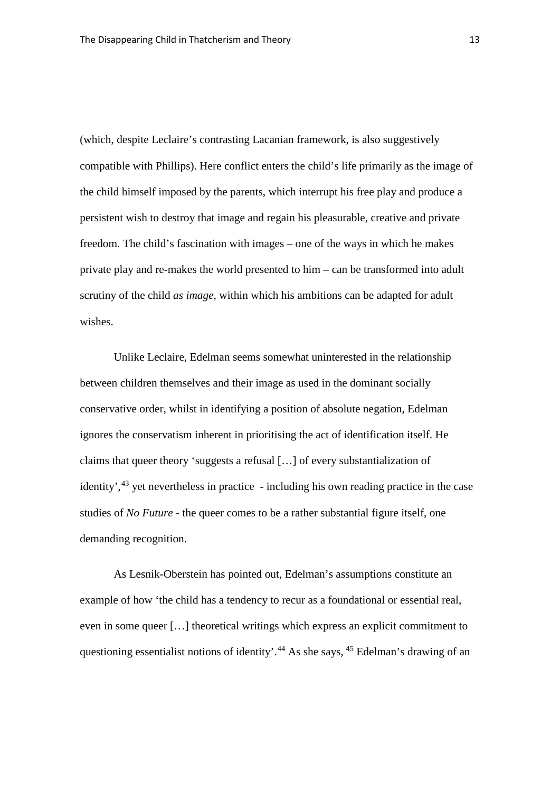(which, despite Leclaire's contrasting Lacanian framework, is also suggestively compatible with Phillips). Here conflict enters the child's life primarily as the image of the child himself imposed by the parents, which interrupt his free play and produce a persistent wish to destroy that image and regain his pleasurable, creative and private freedom. The child's fascination with images – one of the ways in which he makes private play and re-makes the world presented to him – can be transformed into adult scrutiny of the child *as image*, within which his ambitions can be adapted for adult wishes.

Unlike Leclaire, Edelman seems somewhat uninterested in the relationship between children themselves and their image as used in the dominant socially conservative order, whilst in identifying a position of absolute negation, Edelman ignores the conservatism inherent in prioritising the act of identification itself. He claims that queer theory 'suggests a refusal […] of every substantialization of identity',<sup>[43](#page-39-15)</sup> yet nevertheless in practice - including his own reading practice in the case studies of *No Future* - the queer comes to be a rather substantial figure itself, one demanding recognition.

As Lesnik-Oberstein has pointed out, Edelman's assumptions constitute an example of how 'the child has a tendency to recur as a foundational or essential real, even in some queer […] theoretical writings which express an explicit commitment to questioning essentialist notions of identity'.<sup>[44](#page-39-16)</sup> As she says, <sup>[45](#page-39-17)</sup> Edelman's drawing of an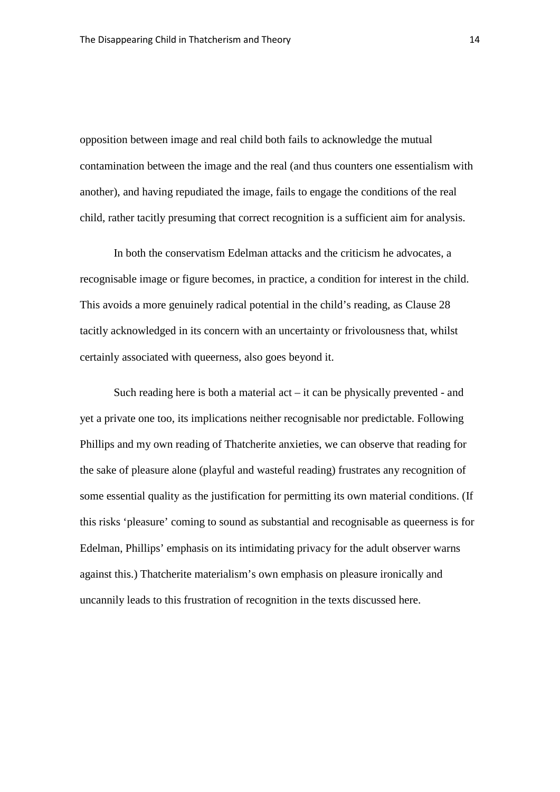opposition between image and real child both fails to acknowledge the mutual contamination between the image and the real (and thus counters one essentialism with another), and having repudiated the image, fails to engage the conditions of the real child, rather tacitly presuming that correct recognition is a sufficient aim for analysis.

In both the conservatism Edelman attacks and the criticism he advocates, a recognisable image or figure becomes, in practice, a condition for interest in the child. This avoids a more genuinely radical potential in the child's reading, as Clause 28 tacitly acknowledged in its concern with an uncertainty or frivolousness that, whilst certainly associated with queerness, also goes beyond it.

Such reading here is both a material  $act - it$  can be physically prevented - and yet a private one too, its implications neither recognisable nor predictable. Following Phillips and my own reading of Thatcherite anxieties, we can observe that reading for the sake of pleasure alone (playful and wasteful reading) frustrates any recognition of some essential quality as the justification for permitting its own material conditions. (If this risks 'pleasure' coming to sound as substantial and recognisable as queerness is for Edelman, Phillips' emphasis on its intimidating privacy for the adult observer warns against this.) Thatcherite materialism's own emphasis on pleasure ironically and uncannily leads to this frustration of recognition in the texts discussed here.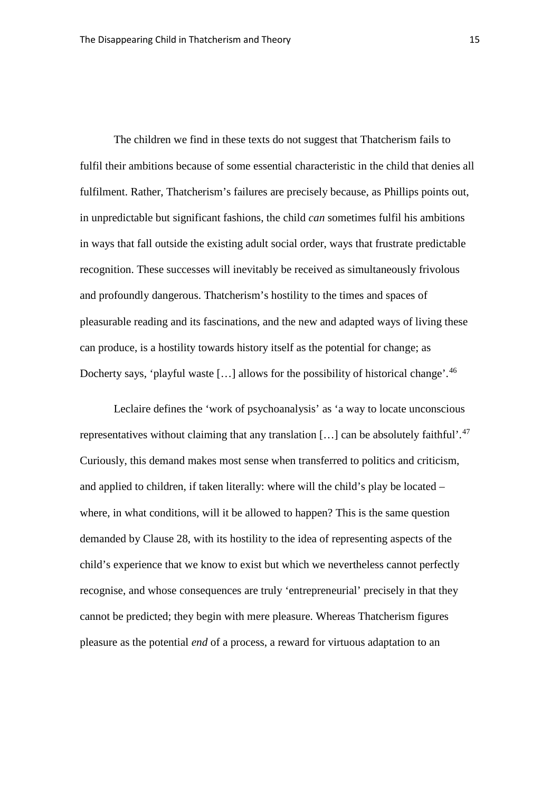The children we find in these texts do not suggest that Thatcherism fails to fulfil their ambitions because of some essential characteristic in the child that denies all fulfilment. Rather, Thatcherism's failures are precisely because, as Phillips points out, in unpredictable but significant fashions, the child *can* sometimes fulfil his ambitions in ways that fall outside the existing adult social order, ways that frustrate predictable recognition. These successes will inevitably be received as simultaneously frivolous and profoundly dangerous. Thatcherism's hostility to the times and spaces of pleasurable reading and its fascinations, and the new and adapted ways of living these can produce, is a hostility towards history itself as the potential for change; as Docherty says, 'playful waste [...] allows for the possibility of historical change'.<sup>[46](#page-39-18)</sup>

Leclaire defines the 'work of psychoanalysis' as 'a way to locate unconscious representatives without claiming that any translation [...] can be absolutely faithful'.<sup>[47](#page-39-19)</sup> Curiously, this demand makes most sense when transferred to politics and criticism, and applied to children, if taken literally: where will the child's play be located – where, in what conditions, will it be allowed to happen? This is the same question demanded by Clause 28, with its hostility to the idea of representing aspects of the child's experience that we know to exist but which we nevertheless cannot perfectly recognise, and whose consequences are truly 'entrepreneurial' precisely in that they cannot be predicted; they begin with mere pleasure. Whereas Thatcherism figures pleasure as the potential *end* of a process, a reward for virtuous adaptation to an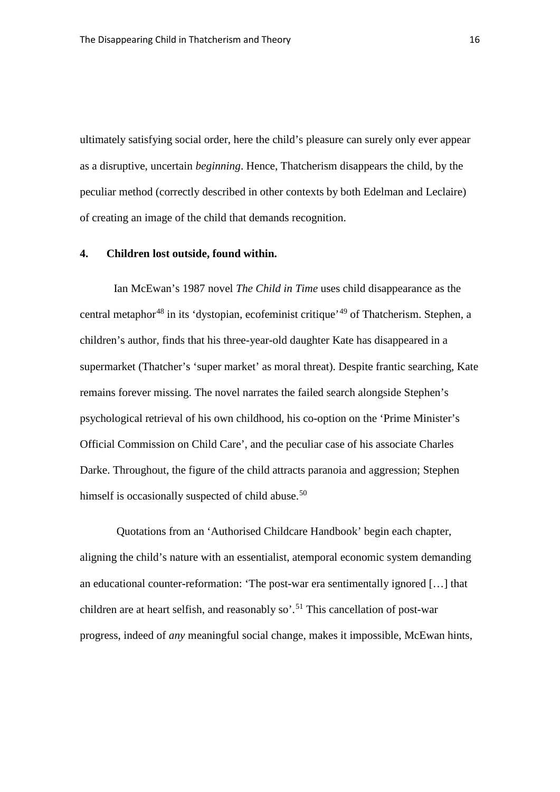ultimately satisfying social order, here the child's pleasure can surely only ever appear as a disruptive, uncertain *beginning*. Hence, Thatcherism disappears the child, by the peculiar method (correctly described in other contexts by both Edelman and Leclaire) of creating an image of the child that demands recognition.

#### **4. Children lost outside, found within.**

Ian McEwan's 1987 novel *The Child in Time* uses child disappearance as the central metaphor<sup>[48](#page-39-20)</sup> in its 'dystopian, ecofeminist critique'<sup>[49](#page-39-21)</sup> of Thatcherism. Stephen, a children's author, finds that his three-year-old daughter Kate has disappeared in a supermarket (Thatcher's 'super market' as moral threat). Despite frantic searching, Kate remains forever missing. The novel narrates the failed search alongside Stephen's psychological retrieval of his own childhood, his co-option on the 'Prime Minister's Official Commission on Child Care', and the peculiar case of his associate Charles Darke. Throughout, the figure of the child attracts paranoia and aggression; Stephen himself is occasionally suspected of child abuse.<sup>[50](#page-39-22)</sup>

Quotations from an 'Authorised Childcare Handbook' begin each chapter, aligning the child's nature with an essentialist, atemporal economic system demanding an educational counter-reformation: 'The post-war era sentimentally ignored […] that children are at heart selfish, and reasonably so'. [51](#page-39-23) This cancellation of post-war progress, indeed of *any* meaningful social change, makes it impossible, McEwan hints,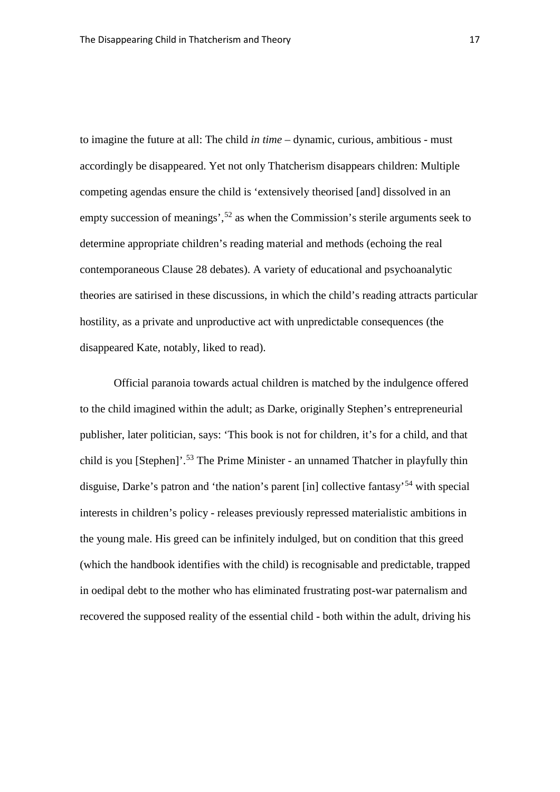to imagine the future at all: The child *in time* – dynamic, curious, ambitious - must accordingly be disappeared. Yet not only Thatcherism disappears children: Multiple competing agendas ensure the child is 'extensively theorised [and] dissolved in an empty succession of meanings',<sup>[52](#page-39-24)</sup> as when the Commission's sterile arguments seek to determine appropriate children's reading material and methods (echoing the real contemporaneous Clause 28 debates). A variety of educational and psychoanalytic theories are satirised in these discussions, in which the child's reading attracts particular hostility, as a private and unproductive act with unpredictable consequences (the disappeared Kate, notably, liked to read).

Official paranoia towards actual children is matched by the indulgence offered to the child imagined within the adult; as Darke, originally Stephen's entrepreneurial publisher, later politician, says: 'This book is not for children, it's for a child, and that child is you [Stephen]'. [53](#page-39-25) The Prime Minister - an unnamed Thatcher in playfully thin disguise, Darke's patron and 'the nation's parent [in] collective fantasy'[54](#page-39-26) with special interests in children's policy - releases previously repressed materialistic ambitions in the young male. His greed can be infinitely indulged, but on condition that this greed (which the handbook identifies with the child) is recognisable and predictable, trapped in oedipal debt to the mother who has eliminated frustrating post-war paternalism and recovered the supposed reality of the essential child - both within the adult, driving his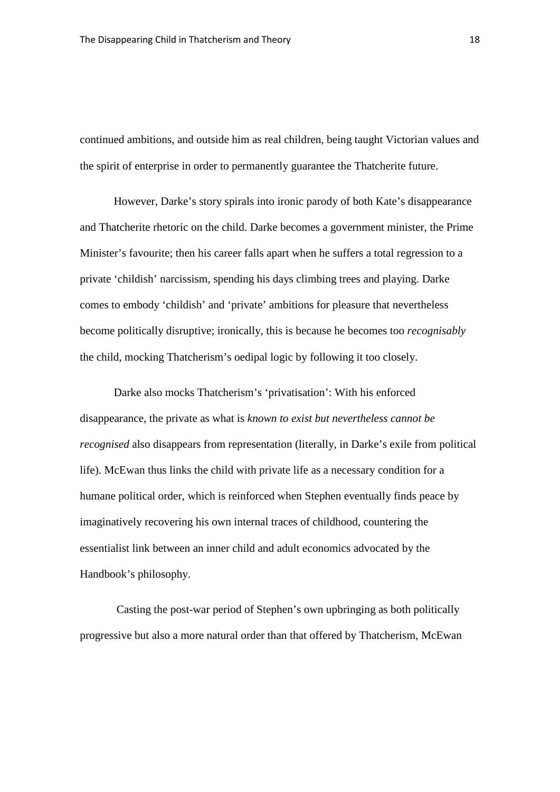continued ambitions, and outside him as real children, being taught Victorian values and the spirit of enterprise in order to permanently guarantee the Thatcherite future.

However, Darke's story spirals into ironic parody of both Kate's disappearance and Thatcherite rhetoric on the child. Darke becomes a government minister, the Prime Minister's favourite; then his career falls apart when he suffers a total regression to a private 'childish' narcissism, spending his days climbing trees and playing. Darke comes to embody 'childish' and 'private' ambitions for pleasure that nevertheless become politically disruptive; ironically, this is because he becomes too *recognisably* the child, mocking Thatcherism's oedipal logic by following it too closely.

Darke also mocks Thatcherism's 'privatisation': With his enforced disappearance, the private as what is *known to exist but nevertheless cannot be recognised* also disappears from representation (literally, in Darke's exile from political life). McEwan thus links the child with private life as a necessary condition for a humane political order, which is reinforced when Stephen eventually finds peace by imaginatively recovering his own internal traces of childhood, countering the essentialist link between an inner child and adult economics advocated by the Handbook's philosophy.

Casting the post-war period of Stephen's own upbringing as both politically progressive but also a more natural order than that offered by Thatcherism, McEwan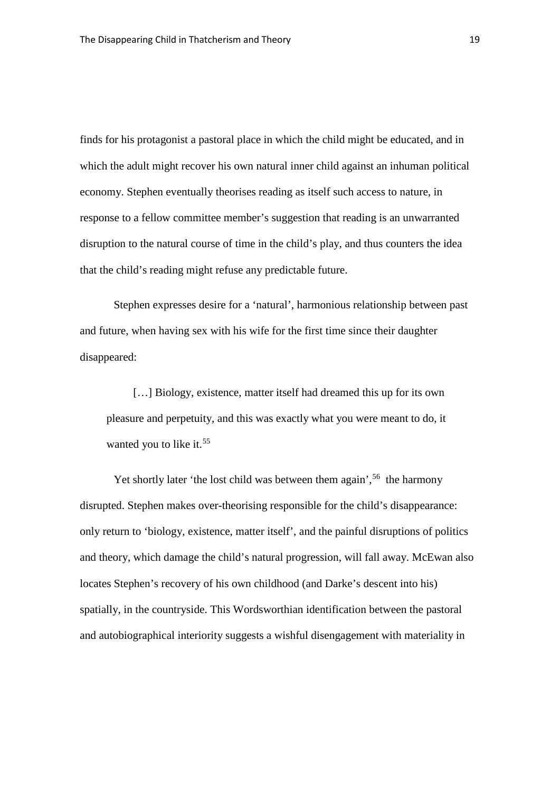finds for his protagonist a pastoral place in which the child might be educated, and in which the adult might recover his own natural inner child against an inhuman political economy. Stephen eventually theorises reading as itself such access to nature, in response to a fellow committee member's suggestion that reading is an unwarranted disruption to the natural course of time in the child's play, and thus counters the idea that the child's reading might refuse any predictable future.

Stephen expresses desire for a 'natural', harmonious relationship between past and future, when having sex with his wife for the first time since their daughter disappeared:

[...] Biology, existence, matter itself had dreamed this up for its own pleasure and perpetuity, and this was exactly what you were meant to do, it wanted you to like it.<sup>[55](#page-39-27)</sup>

Yet shortly later 'the lost child was between them again',<sup>[56](#page-39-28)</sup> the harmony disrupted. Stephen makes over-theorising responsible for the child's disappearance: only return to 'biology, existence, matter itself', and the painful disruptions of politics and theory, which damage the child's natural progression, will fall away. McEwan also locates Stephen's recovery of his own childhood (and Darke's descent into his) spatially, in the countryside. This Wordsworthian identification between the pastoral and autobiographical interiority suggests a wishful disengagement with materiality in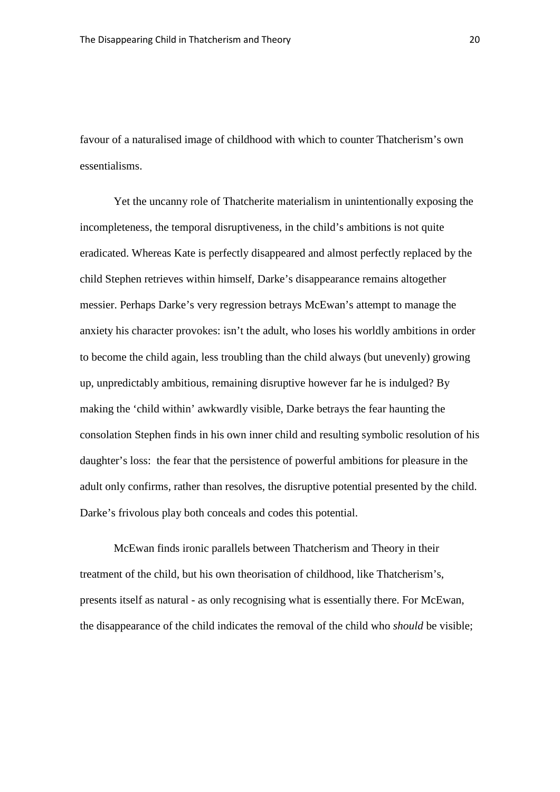favour of a naturalised image of childhood with which to counter Thatcherism's own essentialisms.

Yet the uncanny role of Thatcherite materialism in unintentionally exposing the incompleteness, the temporal disruptiveness, in the child's ambitions is not quite eradicated. Whereas Kate is perfectly disappeared and almost perfectly replaced by the child Stephen retrieves within himself, Darke's disappearance remains altogether messier. Perhaps Darke's very regression betrays McEwan's attempt to manage the anxiety his character provokes: isn't the adult, who loses his worldly ambitions in order to become the child again, less troubling than the child always (but unevenly) growing up, unpredictably ambitious, remaining disruptive however far he is indulged? By making the 'child within' awkwardly visible, Darke betrays the fear haunting the consolation Stephen finds in his own inner child and resulting symbolic resolution of his daughter's loss: the fear that the persistence of powerful ambitions for pleasure in the adult only confirms, rather than resolves, the disruptive potential presented by the child. Darke's frivolous play both conceals and codes this potential.

McEwan finds ironic parallels between Thatcherism and Theory in their treatment of the child, but his own theorisation of childhood, like Thatcherism's, presents itself as natural - as only recognising what is essentially there. For McEwan, the disappearance of the child indicates the removal of the child who *should* be visible;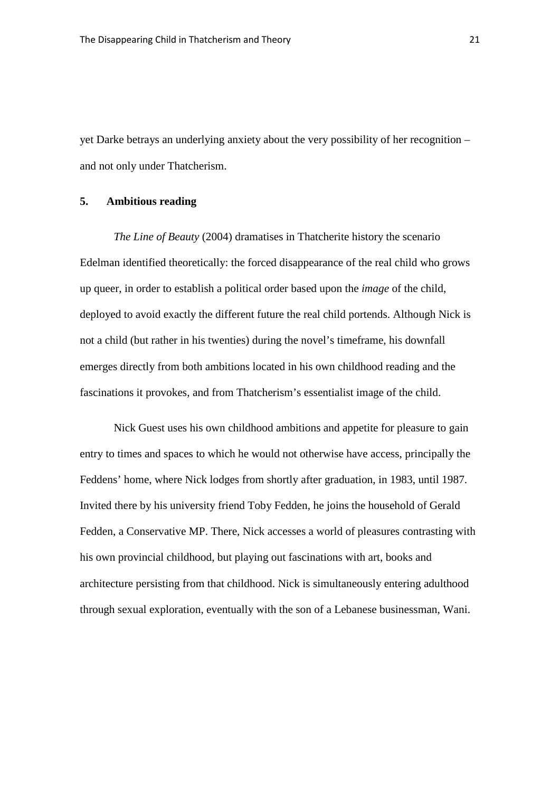yet Darke betrays an underlying anxiety about the very possibility of her recognition – and not only under Thatcherism.

#### **5. Ambitious reading**

*The Line of Beauty* (2004) dramatises in Thatcherite history the scenario Edelman identified theoretically: the forced disappearance of the real child who grows up queer, in order to establish a political order based upon the *image* of the child, deployed to avoid exactly the different future the real child portends. Although Nick is not a child (but rather in his twenties) during the novel's timeframe, his downfall emerges directly from both ambitions located in his own childhood reading and the fascinations it provokes, and from Thatcherism's essentialist image of the child.

Nick Guest uses his own childhood ambitions and appetite for pleasure to gain entry to times and spaces to which he would not otherwise have access, principally the Feddens' home, where Nick lodges from shortly after graduation, in 1983, until 1987. Invited there by his university friend Toby Fedden, he joins the household of Gerald Fedden, a Conservative MP. There, Nick accesses a world of pleasures contrasting with his own provincial childhood, but playing out fascinations with art, books and architecture persisting from that childhood. Nick is simultaneously entering adulthood through sexual exploration, eventually with the son of a Lebanese businessman, Wani.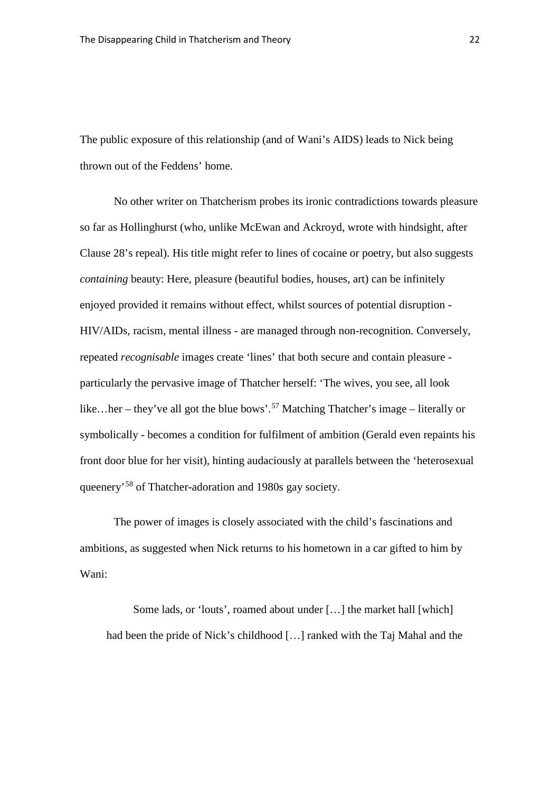The public exposure of this relationship (and of Wani's AIDS) leads to Nick being thrown out of the Feddens' home.

No other writer on Thatcherism probes its ironic contradictions towards pleasure so far as Hollinghurst (who, unlike McEwan and Ackroyd, wrote with hindsight, after Clause 28's repeal). His title might refer to lines of cocaine or poetry, but also suggests *containing* beauty: Here, pleasure (beautiful bodies, houses, art) can be infinitely enjoyed provided it remains without effect, whilst sources of potential disruption - HIV/AIDs, racism, mental illness - are managed through non-recognition. Conversely, repeated *recognisable* images create 'lines' that both secure and contain pleasure particularly the pervasive image of Thatcher herself: 'The wives, you see, all look like...her – they've all got the blue bows'.<sup>[57](#page-39-29)</sup> Matching Thatcher's image – literally or symbolically - becomes a condition for fulfilment of ambition (Gerald even repaints his front door blue for her visit), hinting audaciously at parallels between the 'heterosexual queenery'[58](#page-40-0) of Thatcher-adoration and 1980s gay society.

The power of images is closely associated with the child's fascinations and ambitions, as suggested when Nick returns to his hometown in a car gifted to him by Wani:

Some lads, or 'louts', roamed about under […] the market hall [which] had been the pride of Nick's childhood […] ranked with the Taj Mahal and the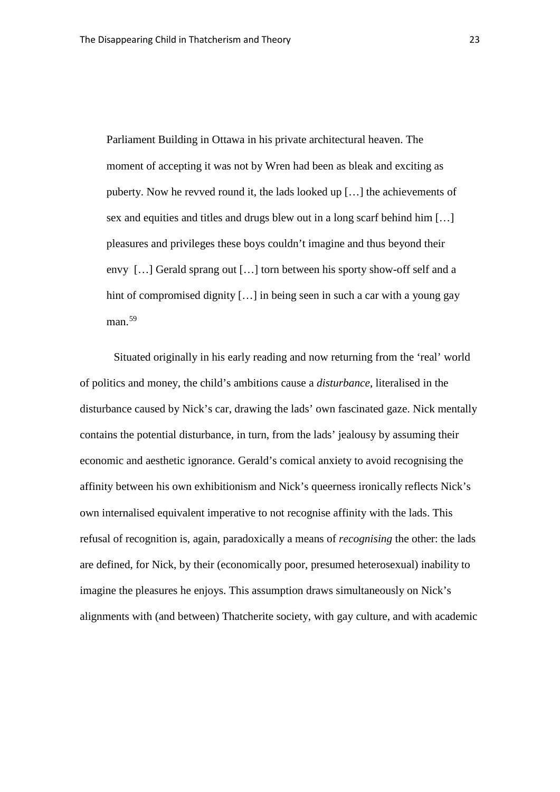Parliament Building in Ottawa in his private architectural heaven. The moment of accepting it was not by Wren had been as bleak and exciting as puberty. Now he revved round it, the lads looked up […] the achievements of sex and equities and titles and drugs blew out in a long scarf behind him […] pleasures and privileges these boys couldn't imagine and thus beyond their envy […] Gerald sprang out […] torn between his sporty show-off self and a hint of compromised dignity [...] in being seen in such a car with a young gay man.<sup>[59](#page-40-1)</sup>

Situated originally in his early reading and now returning from the 'real' world of politics and money, the child's ambitions cause a *disturbance*, literalised in the disturbance caused by Nick's car, drawing the lads' own fascinated gaze. Nick mentally contains the potential disturbance, in turn, from the lads' jealousy by assuming their economic and aesthetic ignorance. Gerald's comical anxiety to avoid recognising the affinity between his own exhibitionism and Nick's queerness ironically reflects Nick's own internalised equivalent imperative to not recognise affinity with the lads. This refusal of recognition is, again, paradoxically a means of *recognising* the other: the lads are defined, for Nick, by their (economically poor, presumed heterosexual) inability to imagine the pleasures he enjoys. This assumption draws simultaneously on Nick's alignments with (and between) Thatcherite society, with gay culture, and with academic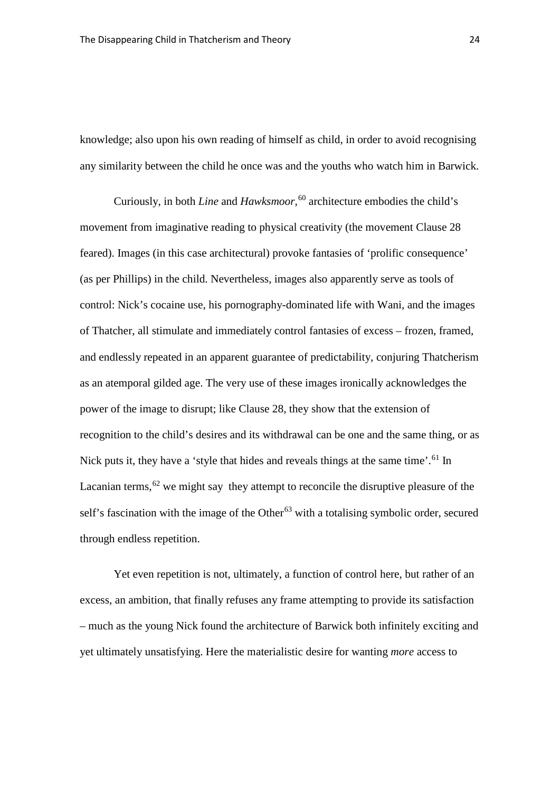knowledge; also upon his own reading of himself as child, in order to avoid recognising any similarity between the child he once was and the youths who watch him in Barwick.

Curiously, in both *Line* and *Hawksmoor*, [60](#page-40-2) architecture embodies the child's movement from imaginative reading to physical creativity (the movement Clause 28 feared). Images (in this case architectural) provoke fantasies of 'prolific consequence' (as per Phillips) in the child. Nevertheless, images also apparently serve as tools of control: Nick's cocaine use, his pornography-dominated life with Wani, and the images of Thatcher, all stimulate and immediately control fantasies of excess – frozen, framed, and endlessly repeated in an apparent guarantee of predictability, conjuring Thatcherism as an atemporal gilded age. The very use of these images ironically acknowledges the power of the image to disrupt; like Clause 28, they show that the extension of recognition to the child's desires and its withdrawal can be one and the same thing, or as Nick puts it, they have a 'style that hides and reveals things at the same time'.<sup>[61](#page-40-3)</sup> In Lacanian terms,  $62$  we might say they attempt to reconcile the disruptive pleasure of the self's fascination with the image of the Other<sup>[63](#page-40-5)</sup> with a totalising symbolic order, secured through endless repetition.

Yet even repetition is not, ultimately, a function of control here, but rather of an excess, an ambition, that finally refuses any frame attempting to provide its satisfaction – much as the young Nick found the architecture of Barwick both infinitely exciting and yet ultimately unsatisfying. Here the materialistic desire for wanting *more* access to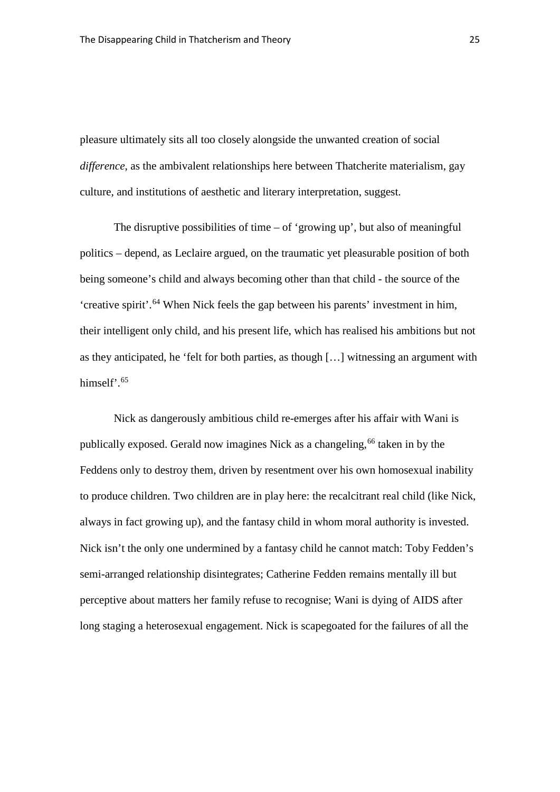pleasure ultimately sits all too closely alongside the unwanted creation of social *difference*, as the ambivalent relationships here between Thatcherite materialism, gay culture, and institutions of aesthetic and literary interpretation, suggest.

The disruptive possibilities of time  $-$  of 'growing up', but also of meaningful politics – depend, as Leclaire argued, on the traumatic yet pleasurable position of both being someone's child and always becoming other than that child - the source of the 'creative spirit'. [64](#page-40-6) When Nick feels the gap between his parents' investment in him, their intelligent only child, and his present life, which has realised his ambitions but not as they anticipated, he 'felt for both parties, as though […] witnessing an argument with himself'.<sup>[65](#page-40-7)</sup>

Nick as dangerously ambitious child re-emerges after his affair with Wani is publically exposed. Gerald now imagines Nick as a changeling, <sup>[66](#page-40-8)</sup> taken in by the Feddens only to destroy them, driven by resentment over his own homosexual inability to produce children. Two children are in play here: the recalcitrant real child (like Nick, always in fact growing up), and the fantasy child in whom moral authority is invested. Nick isn't the only one undermined by a fantasy child he cannot match: Toby Fedden's semi-arranged relationship disintegrates; Catherine Fedden remains mentally ill but perceptive about matters her family refuse to recognise; Wani is dying of AIDS after long staging a heterosexual engagement. Nick is scapegoated for the failures of all the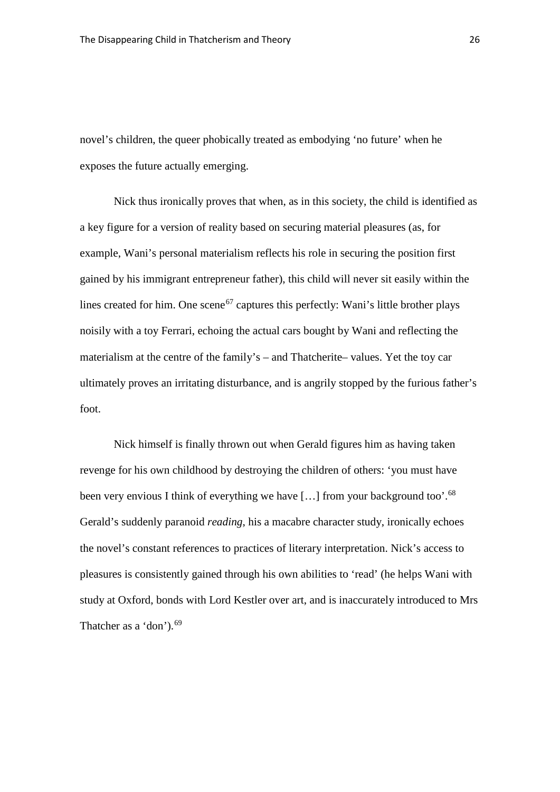novel's children, the queer phobically treated as embodying 'no future' when he exposes the future actually emerging.

Nick thus ironically proves that when, as in this society, the child is identified as a key figure for a version of reality based on securing material pleasures (as, for example, Wani's personal materialism reflects his role in securing the position first gained by his immigrant entrepreneur father), this child will never sit easily within the lines created for him. One scene<sup>[67](#page-40-9)</sup> captures this perfectly: Wani's little brother plays noisily with a toy Ferrari, echoing the actual cars bought by Wani and reflecting the materialism at the centre of the family's – and Thatcherite– values. Yet the toy car ultimately proves an irritating disturbance, and is angrily stopped by the furious father's foot.

Nick himself is finally thrown out when Gerald figures him as having taken revenge for his own childhood by destroying the children of others: 'you must have been very envious I think of everything we have [...] from your background too'.<sup>[68](#page-40-10)</sup> Gerald's suddenly paranoid *reading*, his a macabre character study, ironically echoes the novel's constant references to practices of literary interpretation. Nick's access to pleasures is consistently gained through his own abilities to 'read' (he helps Wani with study at Oxford, bonds with Lord Kestler over art, and is inaccurately introduced to Mrs Thatcher as a 'don'). [69](#page-40-11)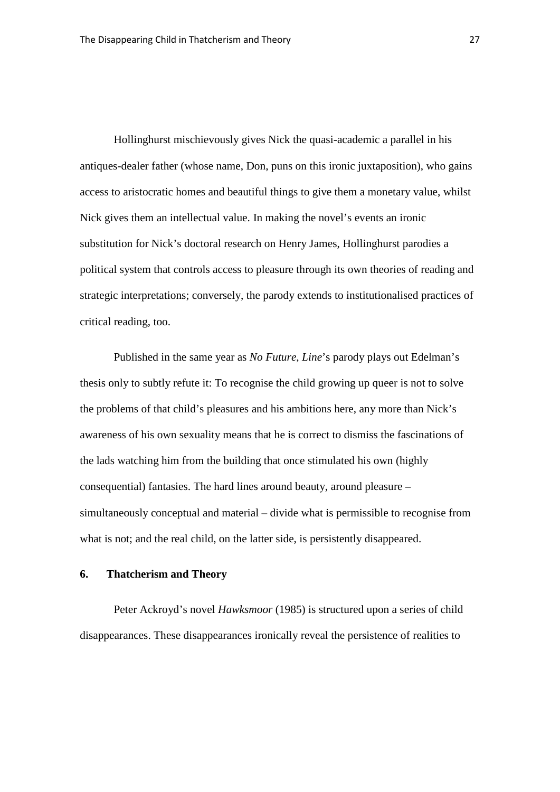Hollinghurst mischievously gives Nick the quasi-academic a parallel in his antiques-dealer father (whose name, Don, puns on this ironic juxtaposition), who gains access to aristocratic homes and beautiful things to give them a monetary value, whilst Nick gives them an intellectual value. In making the novel's events an ironic substitution for Nick's doctoral research on Henry James, Hollinghurst parodies a political system that controls access to pleasure through its own theories of reading and strategic interpretations; conversely, the parody extends to institutionalised practices of critical reading, too.

Published in the same year as *No Future*, *Line*'s parody plays out Edelman's thesis only to subtly refute it: To recognise the child growing up queer is not to solve the problems of that child's pleasures and his ambitions here, any more than Nick's awareness of his own sexuality means that he is correct to dismiss the fascinations of the lads watching him from the building that once stimulated his own (highly consequential) fantasies. The hard lines around beauty, around pleasure – simultaneously conceptual and material – divide what is permissible to recognise from what is not; and the real child, on the latter side, is persistently disappeared.

#### **6. Thatcherism and Theory**

Peter Ackroyd's novel *Hawksmoor* (1985) is structured upon a series of child disappearances. These disappearances ironically reveal the persistence of realities to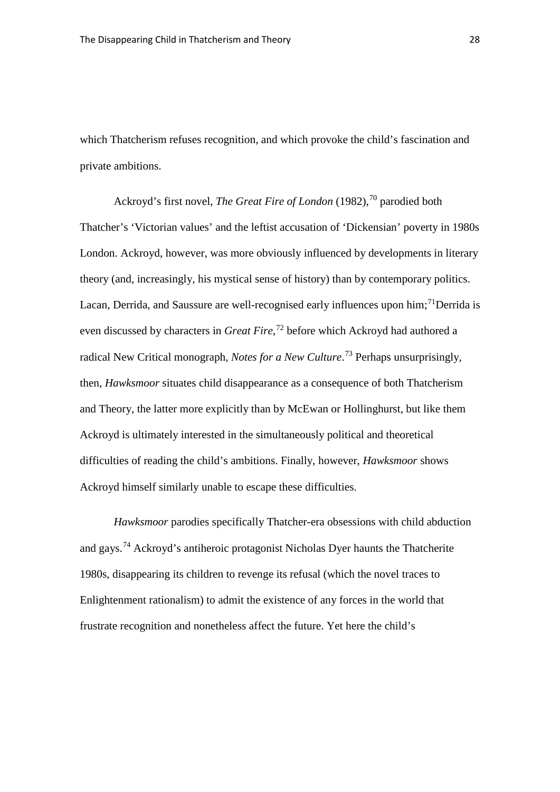which Thatcherism refuses recognition, and which provoke the child's fascination and private ambitions.

Ackroyd's first novel, *The Great Fire of London* (1982), [70](#page-40-12) parodied both Thatcher's 'Victorian values' and the leftist accusation of 'Dickensian' poverty in 1980s London. Ackroyd, however, was more obviously influenced by developments in literary theory (and, increasingly, his mystical sense of history) than by contemporary politics. Lacan, Derrida, and Saussure are well-recognised early influences upon him;<sup>[71](#page-40-13)</sup>Derrida is even discussed by characters in *Great Fire*, [72](#page-40-14) before which Ackroyd had authored a radical New Critical monograph, *Notes for a New Culture*. [73](#page-40-15) Perhaps unsurprisingly, then, *Hawksmoor* situates child disappearance as a consequence of both Thatcherism and Theory, the latter more explicitly than by McEwan or Hollinghurst, but like them Ackroyd is ultimately interested in the simultaneously political and theoretical difficulties of reading the child's ambitions. Finally, however, *Hawksmoor* shows Ackroyd himself similarly unable to escape these difficulties.

*Hawksmoor* parodies specifically Thatcher-era obsessions with child abduction and gays. [74](#page-40-16) Ackroyd's antiheroic protagonist Nicholas Dyer haunts the Thatcherite 1980s, disappearing its children to revenge its refusal (which the novel traces to Enlightenment rationalism) to admit the existence of any forces in the world that frustrate recognition and nonetheless affect the future. Yet here the child's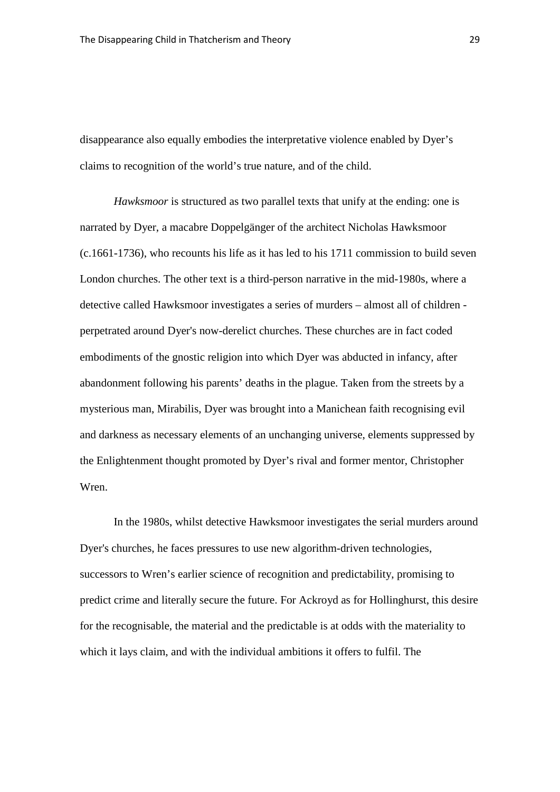disappearance also equally embodies the interpretative violence enabled by Dyer's claims to recognition of the world's true nature, and of the child.

*Hawksmoor* is structured as two parallel texts that unify at the ending: one is narrated by Dyer, a macabre Doppelgänger of the architect Nicholas Hawksmoor (c.1661-1736), who recounts his life as it has led to his 1711 commission to build seven London churches. The other text is a third-person narrative in the mid-1980s, where a detective called Hawksmoor investigates a series of murders – almost all of children perpetrated around Dyer's now-derelict churches. These churches are in fact coded embodiments of the gnostic religion into which Dyer was abducted in infancy, after abandonment following his parents' deaths in the plague. Taken from the streets by a mysterious man, Mirabilis, Dyer was brought into a Manichean faith recognising evil and darkness as necessary elements of an unchanging universe, elements suppressed by the Enlightenment thought promoted by Dyer's rival and former mentor, Christopher Wren.

In the 1980s, whilst detective Hawksmoor investigates the serial murders around Dyer's churches, he faces pressures to use new algorithm-driven technologies, successors to Wren's earlier science of recognition and predictability, promising to predict crime and literally secure the future. For Ackroyd as for Hollinghurst, this desire for the recognisable, the material and the predictable is at odds with the materiality to which it lays claim, and with the individual ambitions it offers to fulfil. The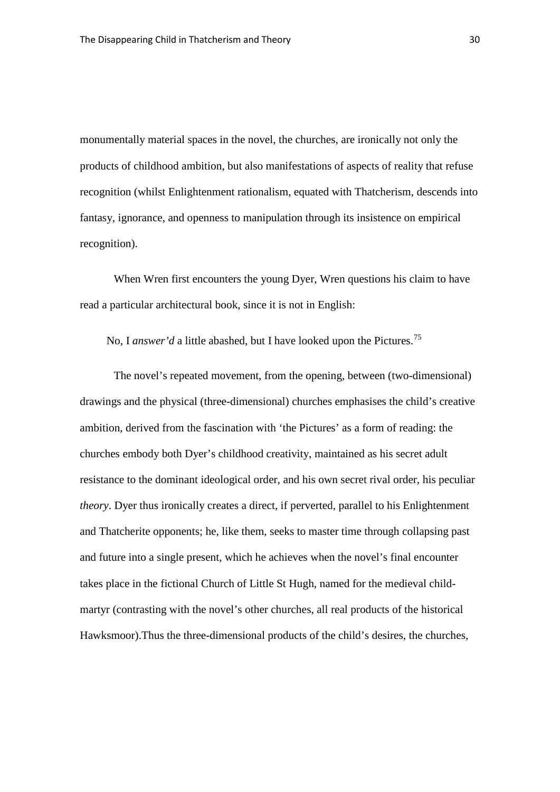monumentally material spaces in the novel, the churches, are ironically not only the products of childhood ambition, but also manifestations of aspects of reality that refuse recognition (whilst Enlightenment rationalism, equated with Thatcherism, descends into fantasy, ignorance, and openness to manipulation through its insistence on empirical recognition).

When Wren first encounters the young Dyer, Wren questions his claim to have read a particular architectural book, since it is not in English:

No, I *answer'd* a little abashed, but I have looked upon the Pictures.<sup>[75](#page-40-17)</sup>

The novel's repeated movement, from the opening, between (two-dimensional) drawings and the physical (three-dimensional) churches emphasises the child's creative ambition, derived from the fascination with 'the Pictures' as a form of reading: the churches embody both Dyer's childhood creativity, maintained as his secret adult resistance to the dominant ideological order, and his own secret rival order, his peculiar *theory*. Dyer thus ironically creates a direct, if perverted, parallel to his Enlightenment and Thatcherite opponents; he, like them, seeks to master time through collapsing past and future into a single present, which he achieves when the novel's final encounter takes place in the fictional Church of Little St Hugh, named for the medieval childmartyr (contrasting with the novel's other churches, all real products of the historical Hawksmoor).Thus the three-dimensional products of the child's desires, the churches,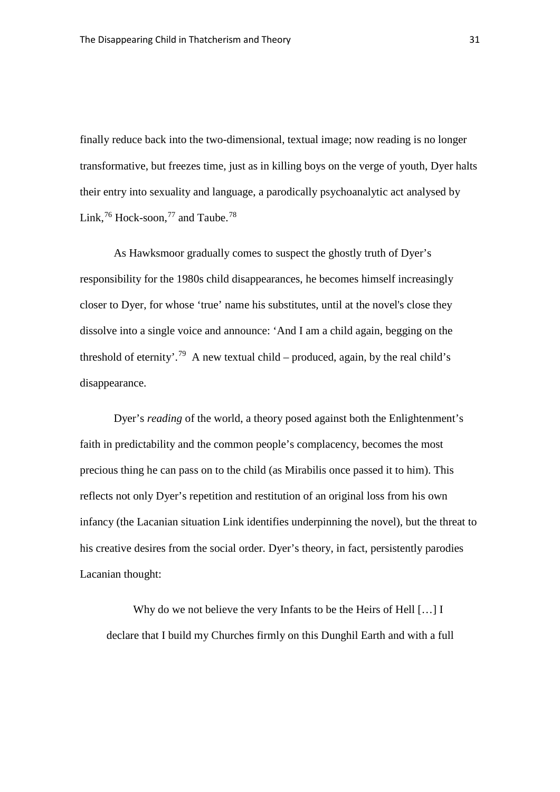finally reduce back into the two-dimensional, textual image; now reading is no longer transformative, but freezes time, just as in killing boys on the verge of youth, Dyer halts their entry into sexuality and language, a parodically psychoanalytic act analysed by Link,  $^{76}$  $^{76}$  $^{76}$  Hock-soon,  $^{77}$  $^{77}$  $^{77}$  and Taube.<sup>[78](#page-40-20)</sup>

As Hawksmoor gradually comes to suspect the ghostly truth of Dyer's responsibility for the 1980s child disappearances, he becomes himself increasingly closer to Dyer, for whose 'true' name his substitutes, until at the novel's close they dissolve into a single voice and announce: 'And I am a child again, begging on the threshold of eternity'.<sup>[79](#page-40-21)</sup> A new textual child – produced, again, by the real child's disappearance.

Dyer's *reading* of the world, a theory posed against both the Enlightenment's faith in predictability and the common people's complacency, becomes the most precious thing he can pass on to the child (as Mirabilis once passed it to him). This reflects not only Dyer's repetition and restitution of an original loss from his own infancy (the Lacanian situation Link identifies underpinning the novel), but the threat to his creative desires from the social order. Dyer's theory, in fact, persistently parodies Lacanian thought:

Why do we not believe the very Infants to be the Heirs of Hell [...] I declare that I build my Churches firmly on this Dunghil Earth and with a full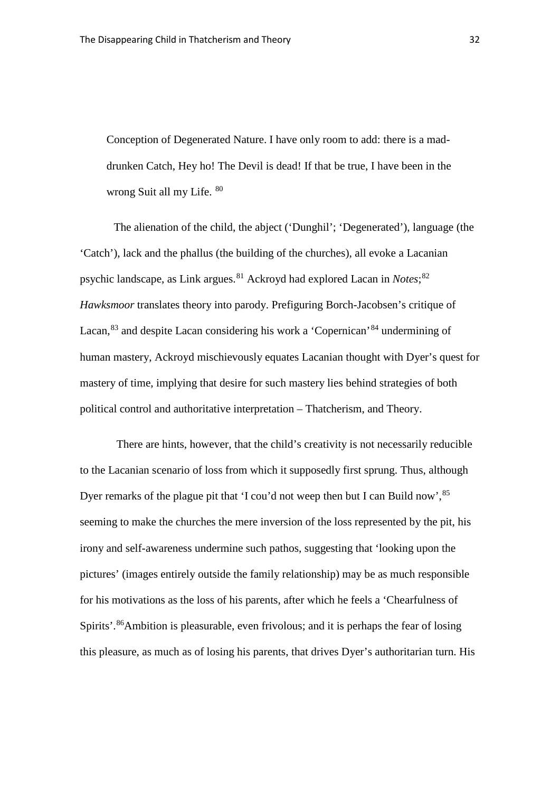Conception of Degenerated Nature. I have only room to add: there is a maddrunken Catch, Hey ho! The Devil is dead! If that be true, I have been in the wrong Suit all my Life. [80](#page-40-22)

The alienation of the child, the abject ('Dunghil'; 'Degenerated'), language (the 'Catch'), lack and the phallus (the building of the churches), all evoke a Lacanian psychic landscape, as Link argues. [81](#page-40-23) Ackroyd had explored Lacan in *Notes*; [82](#page-40-24) *Hawksmoor* translates theory into parody. Prefiguring Borch-Jacobsen's critique of Lacan, <sup>[83](#page-40-25)</sup> and despite Lacan considering his work a 'Copernican' <sup>[84](#page-40-26)</sup> undermining of human mastery, Ackroyd mischievously equates Lacanian thought with Dyer's quest for mastery of time, implying that desire for such mastery lies behind strategies of both political control and authoritative interpretation – Thatcherism, and Theory.

There are hints, however, that the child's creativity is not necessarily reducible to the Lacanian scenario of loss from which it supposedly first sprung. Thus, although Dyer remarks of the plague pit that 'I cou'd not weep then but I can Build now', <sup>[85](#page-40-27)</sup> seeming to make the churches the mere inversion of the loss represented by the pit, his irony and self-awareness undermine such pathos, suggesting that 'looking upon the pictures' (images entirely outside the family relationship) may be as much responsible for his motivations as the loss of his parents, after which he feels a 'Chearfulness of Spirits'.<sup>[86](#page-40-28)</sup>Ambition is pleasurable, even frivolous; and it is perhaps the fear of losing this pleasure, as much as of losing his parents, that drives Dyer's authoritarian turn. His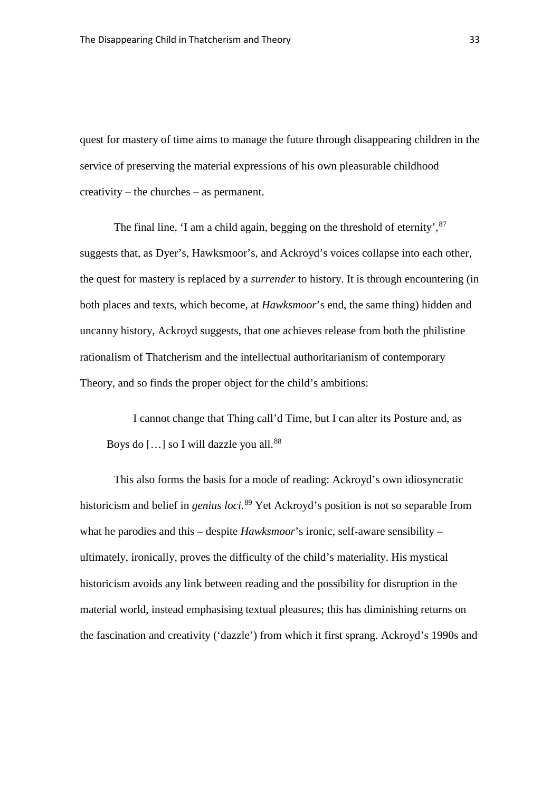quest for mastery of time aims to manage the future through disappearing children in the service of preserving the material expressions of his own pleasurable childhood creativity – the churches – as permanent.

The final line, 'I am a child again, begging on the threshold of eternity',  $87$ suggests that, as Dyer's, Hawksmoor's, and Ackroyd's voices collapse into each other, the quest for mastery is replaced by a *surrender* to history. It is through encountering (in both places and texts, which become, at *Hawksmoor*'s end, the same thing) hidden and uncanny history, Ackroyd suggests, that one achieves release from both the philistine rationalism of Thatcherism and the intellectual authoritarianism of contemporary Theory, and so finds the proper object for the child's ambitions:

I cannot change that Thing call'd Time, but I can alter its Posture and, as Boys do  $\lceil$ ...] so I will dazzle you all.<sup>[88](#page-40-30)</sup>

This also forms the basis for a mode of reading: Ackroyd's own idiosyncratic historicism and belief in *genius loci*. [89](#page-41-0) Yet Ackroyd's position is not so separable from what he parodies and this – despite *Hawksmoor*'s ironic, self-aware sensibility – ultimately, ironically, proves the difficulty of the child's materiality. His mystical historicism avoids any link between reading and the possibility for disruption in the material world, instead emphasising textual pleasures; this has diminishing returns on the fascination and creativity ('dazzle') from which it first sprang. Ackroyd's 1990s and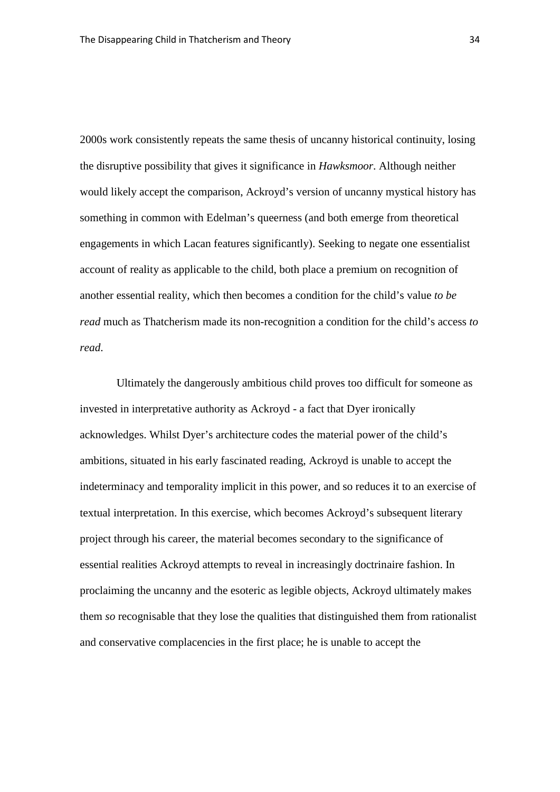2000s work consistently repeats the same thesis of uncanny historical continuity, losing the disruptive possibility that gives it significance in *Hawksmoor*. Although neither would likely accept the comparison, Ackroyd's version of uncanny mystical history has something in common with Edelman's queerness (and both emerge from theoretical engagements in which Lacan features significantly). Seeking to negate one essentialist account of reality as applicable to the child, both place a premium on recognition of another essential reality, which then becomes a condition for the child's value *to be read* much as Thatcherism made its non-recognition a condition for the child's access *to read*.

Ultimately the dangerously ambitious child proves too difficult for someone as invested in interpretative authority as Ackroyd - a fact that Dyer ironically acknowledges. Whilst Dyer's architecture codes the material power of the child's ambitions, situated in his early fascinated reading, Ackroyd is unable to accept the indeterminacy and temporality implicit in this power, and so reduces it to an exercise of textual interpretation. In this exercise, which becomes Ackroyd's subsequent literary project through his career, the material becomes secondary to the significance of essential realities Ackroyd attempts to reveal in increasingly doctrinaire fashion. In proclaiming the uncanny and the esoteric as legible objects, Ackroyd ultimately makes them *so* recognisable that they lose the qualities that distinguished them from rationalist and conservative complacencies in the first place; he is unable to accept the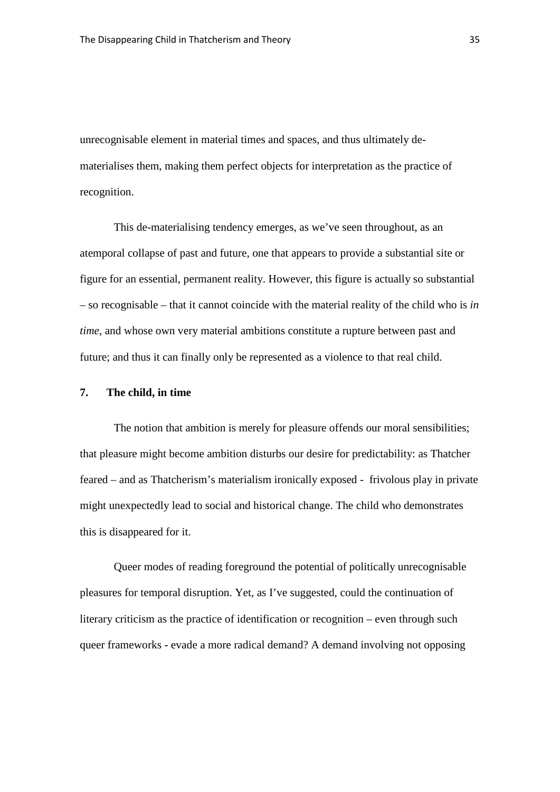unrecognisable element in material times and spaces, and thus ultimately dematerialises them, making them perfect objects for interpretation as the practice of recognition.

This de-materialising tendency emerges, as we've seen throughout, as an atemporal collapse of past and future, one that appears to provide a substantial site or figure for an essential, permanent reality. However, this figure is actually so substantial – so recognisable – that it cannot coincide with the material reality of the child who is *in time*, and whose own very material ambitions constitute a rupture between past and future; and thus it can finally only be represented as a violence to that real child.

#### **7. The child, in time**

The notion that ambition is merely for pleasure offends our moral sensibilities; that pleasure might become ambition disturbs our desire for predictability: as Thatcher feared – and as Thatcherism's materialism ironically exposed - frivolous play in private might unexpectedly lead to social and historical change. The child who demonstrates this is disappeared for it.

Queer modes of reading foreground the potential of politically unrecognisable pleasures for temporal disruption. Yet, as I've suggested, could the continuation of literary criticism as the practice of identification or recognition – even through such queer frameworks - evade a more radical demand? A demand involving not opposing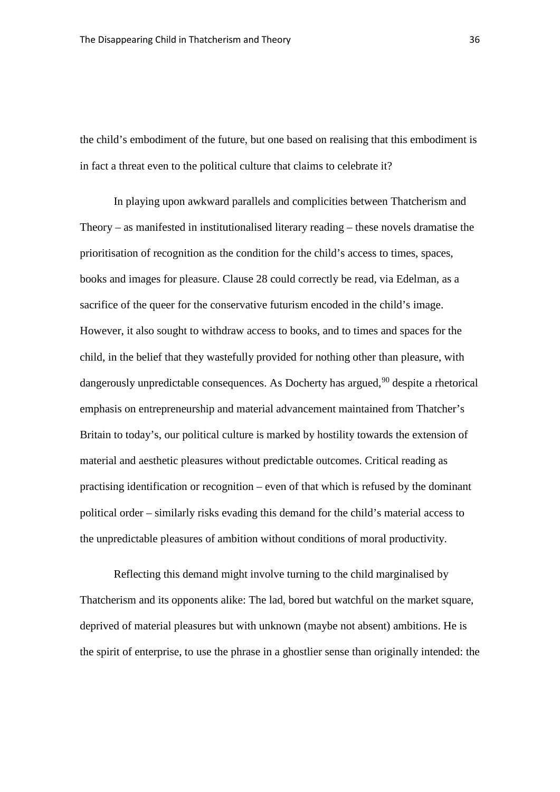the child's embodiment of the future, but one based on realising that this embodiment is in fact a threat even to the political culture that claims to celebrate it?

In playing upon awkward parallels and complicities between Thatcherism and Theory – as manifested in institutionalised literary reading – these novels dramatise the prioritisation of recognition as the condition for the child's access to times, spaces, books and images for pleasure. Clause 28 could correctly be read, via Edelman, as a sacrifice of the queer for the conservative futurism encoded in the child's image. However, it also sought to withdraw access to books, and to times and spaces for the child, in the belief that they wastefully provided for nothing other than pleasure, with dangerously unpredictable consequences. As Docherty has argued,<sup>[90](#page-41-1)</sup> despite a rhetorical emphasis on entrepreneurship and material advancement maintained from Thatcher's Britain to today's, our political culture is marked by hostility towards the extension of material and aesthetic pleasures without predictable outcomes. Critical reading as practising identification or recognition – even of that which is refused by the dominant political order – similarly risks evading this demand for the child's material access to the unpredictable pleasures of ambition without conditions of moral productivity.

Reflecting this demand might involve turning to the child marginalised by Thatcherism and its opponents alike: The lad, bored but watchful on the market square, deprived of material pleasures but with unknown (maybe not absent) ambitions. He is the spirit of enterprise, to use the phrase in a ghostlier sense than originally intended: the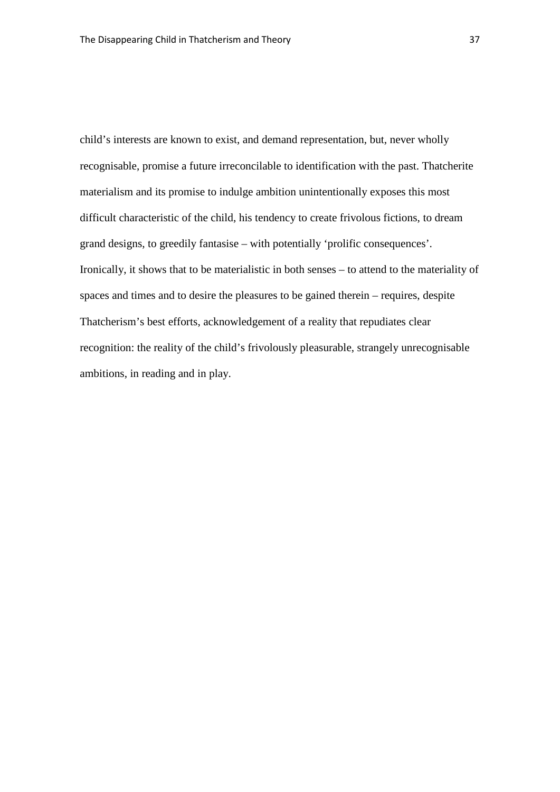child's interests are known to exist, and demand representation, but, never wholly recognisable, promise a future irreconcilable to identification with the past. Thatcherite materialism and its promise to indulge ambition unintentionally exposes this most difficult characteristic of the child, his tendency to create frivolous fictions, to dream grand designs, to greedily fantasise – with potentially 'prolific consequences'. Ironically, it shows that to be materialistic in both senses – to attend to the materiality of spaces and times and to desire the pleasures to be gained therein – requires, despite Thatcherism's best efforts, acknowledgement of a reality that repudiates clear recognition: the reality of the child's frivolously pleasurable, strangely unrecognisable ambitions, in reading and in play.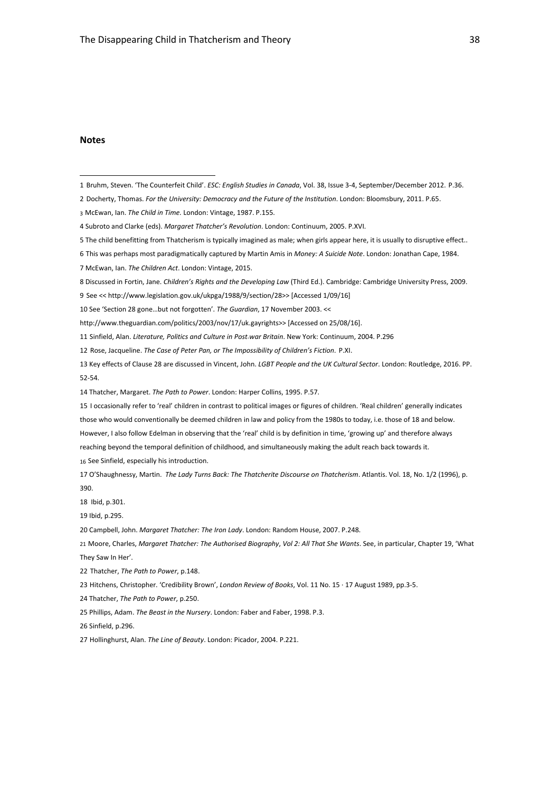#### **Notes**

 $\overline{a}$ 

- <span id="page-38-4"></span>The child benefitting from Thatcherism is typically imagined as male; when girls appear here, it is usually to disruptive effect..
- <span id="page-38-5"></span>This was perhaps most paradigmatically captured by Martin Amis in *Money: A Suicide Note*. London: Jonathan Cape, 1984.
- <span id="page-38-6"></span>McEwan, Ian. *The Children Act*. London: Vintage, 2015.
- <span id="page-38-7"></span>Discussed in Fortin, Jane. *Children's Rights and the Developing Law* (Third Ed.). Cambridge: Cambridge University Press, 2009.
- <span id="page-38-8"></span>See <[< http://www.legislation.gov.uk/ukpga/1988/9/section/28>](http://www.legislation.gov.uk/ukpga/1988/9/section/28)> [Accessed 1/09/16]
- <span id="page-38-9"></span>See 'Section 28 gone…but not forgotten'. *The Guardian*, 17 November 2003. <<
- [http://www.theguardian.com/politics/2003/nov/17/uk.gayrights>](http://www.theguardian.com/politics/2003/nov/17/uk.gayrights)> [Accessed on 25/08/16].
- <span id="page-38-10"></span>Sinfield, Alan. *Literature, Politics and Culture in Post*-*war Britain*. New York: Continuum, 2004. P.296
- <span id="page-38-11"></span>Rose, Jacqueline. *The Case of Peter Pan, or The Impossibility of Children's Fiction*. P.XI.
- <span id="page-38-12"></span> Key effects of Clause 28 are discussed in Vincent, John. *LGBT People and the UK Cultural Sector*. London: Routledge, 2016. PP. 52-54.
- <span id="page-38-13"></span>Thatcher, Margaret. *The Path to Power*. London: Harper Collins, 1995. P.57.
- <span id="page-38-14"></span> I occasionally refer to 'real' children in contrast to political images or figures of children. 'Real children' generally indicates those who would conventionally be deemed children in law and policy from the 1980s to today, i.e. those of 18 and below. However, I also follow Edelman in observing that the 'real' child is by definition in time, 'growing up' and therefore always reaching beyond the temporal definition of childhood, and simultaneously making the adult reach back towards it. See Sinfield, especially his introduction.
- <span id="page-38-16"></span><span id="page-38-15"></span> O'Shaughnessy, Martin. *The Lady Turns Back: The Thatcherite Discourse on Thatcherism*. Atlantis. Vol. 18, No. 1/2 (1996), p. 390.
- <span id="page-38-17"></span>18 Ibid, p.301.
- <span id="page-38-18"></span>Ibid, p.295.
- <span id="page-38-19"></span>Campbell, John. *Margaret Thatcher: The Iron Lady*. London: Random House, 2007. P.248.
- <span id="page-38-20"></span> Moore, Charles, *Margaret Thatcher: The Authorised Biography*, *Vol 2: All That She Wants*. See, in particular, Chapter 19, 'What They Saw In Her'.
- <span id="page-38-21"></span>Thatcher, *The Path to Power*, p.148.
- <span id="page-38-22"></span>Hitchens, Christopher. 'Credibility Brown', *London Review of Books*, Vol. 11 No. 15 · 17 August 1989, pp.3-5.
- <span id="page-38-23"></span>Thatcher, *The Path to Power*, p.250.
- <span id="page-38-24"></span>Phillips, Adam. *The Beast in the Nursery*. London: Faber and Faber, 1998. P.3.
- <span id="page-38-25"></span>Sinfield, p.296.
- <span id="page-38-26"></span>Hollinghurst, Alan. *The Line of Beauty*. London: Picador, 2004. P.221.

<span id="page-38-0"></span>Bruhm, Steven. 'The Counterfeit Child'. *ESC: English Studies in Canada*, Vol. 38, Issue 3-4, September/December 2012. P.36.

<span id="page-38-1"></span>Docherty, Thomas. *For the University: Democracy and the Future of the Institution*. London: Bloomsbury, 2011. P.65.

<span id="page-38-2"></span>McEwan, Ian. *The Child in Time.* London: Vintage, 1987. P.155.

<span id="page-38-3"></span>Subroto and Clarke (eds). *Margaret Thatcher's Revolution*. London: Continuum, 2005. P.XVI.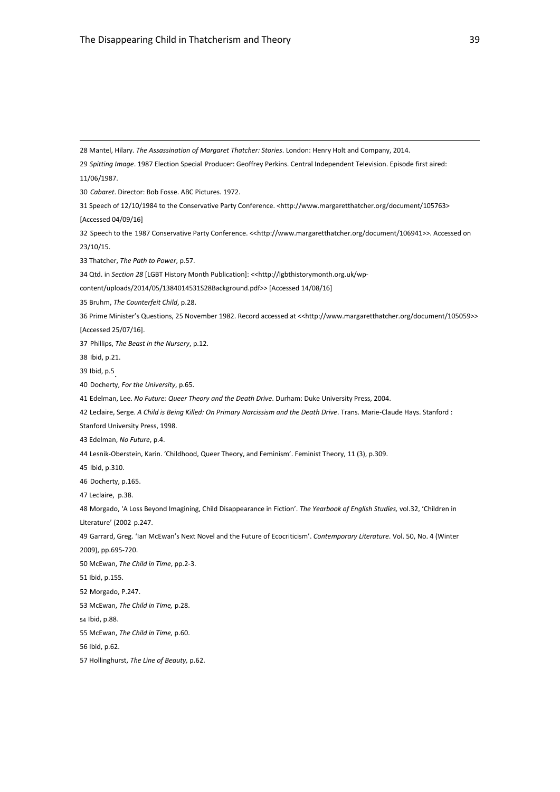<span id="page-39-29"></span><span id="page-39-28"></span><span id="page-39-27"></span><span id="page-39-26"></span><span id="page-39-25"></span><span id="page-39-24"></span><span id="page-39-23"></span><span id="page-39-22"></span><span id="page-39-21"></span><span id="page-39-20"></span><span id="page-39-19"></span><span id="page-39-18"></span><span id="page-39-17"></span><span id="page-39-16"></span><span id="page-39-15"></span><span id="page-39-14"></span><span id="page-39-13"></span><span id="page-39-12"></span><span id="page-39-11"></span><span id="page-39-10"></span><span id="page-39-9"></span><span id="page-39-8"></span><span id="page-39-7"></span><span id="page-39-6"></span><span id="page-39-5"></span><span id="page-39-4"></span><span id="page-39-3"></span><span id="page-39-2"></span><span id="page-39-1"></span><span id="page-39-0"></span> Mantel, Hilary. *The Assassination of Margaret Thatcher: Stories*. London: Henry Holt and Company, 2014. *Spitting Image*. 1987 Election Special Producer: Geoffrey Perkins. Central Independent Television. Episode first aired: 11/06/1987. *Cabaret*. Director: Bob Fosse. ABC Pictures. 1972. Speech of 12/10/1984 to the Conservative Party Conference. [<http://www.margaretthatcher.org/document/105763>](http://www.margaretthatcher.org/document/105763) [Accessed 04/09/16] Speech to the 1987 Conservative Party Conference. <[<http://www.margaretthatcher.org/document/106941>](http://www.margaretthatcher.org/document/106941)>. Accessed on 23/10/15. Thatcher, *The Path to Power*, p.57. 34 Qtd. in *Section 28* [LGBT History Month Publication]: << http://lgbthistorymonth.org.uk/wp[content/uploads/2014/05/1384014531S28Background.pdf>](http://lgbthistorymonth.org.uk/wp-content/uploads/2014/05/1384014531S28Background.pdf)> [Accessed 14/08/16] Bruhm, *The Counterfeit Child*, p.28. Prime Minister's Questions, 25 November 1982. Record accessed at <[<http://www.margaretthatcher.org/document/105059>](http://www.margaretthatcher.org/document/105059)> [Accessed 25/07/16]. Phillips, *The Beast in the Nursery*, p.12. Ibid, p.21. Ibid, p.5. Docherty, *For the University*, p.65. Edelman, Lee. *No Future: Queer Theory and the Death Drive*. Durham: Duke University Press, 2004. Leclaire, Serge. *A Child is Being Killed: On Primary Narcissism and the Death Drive*. Trans. Marie-Claude Hays. Stanford : Stanford University Press, 1998. Edelman, *No Future*, p.4. Lesnik-Oberstein, Karin. 'Childhood, Queer Theory, and Feminism'. Feminist Theory, 11 (3), p.309. Ibid, p.310. Docherty, p.165. Leclaire, p.38. Morgado, 'A Loss Beyond Imagining, Child Disappearance in Fiction'. *The Yearbook of English Studies,* vol.32, 'Children in Literature' (2002 p.247. Garrard, Greg. 'Ian McEwan's Next Novel and the Future of Ecocriticism'. *Contemporary Literature*. Vol. 50, No. 4 (Winter 2009), pp.695-720. McEwan, *The Child in Time*, pp.2-3. Ibid, p.155. Morgado, P.247. McEwan, *The Child in Time,* p.28. Ibid, p.88. McEwan, *The Child in Time,* p.60. Ibid, p.62. Hollinghurst, *The Line of Beauty,* p.62.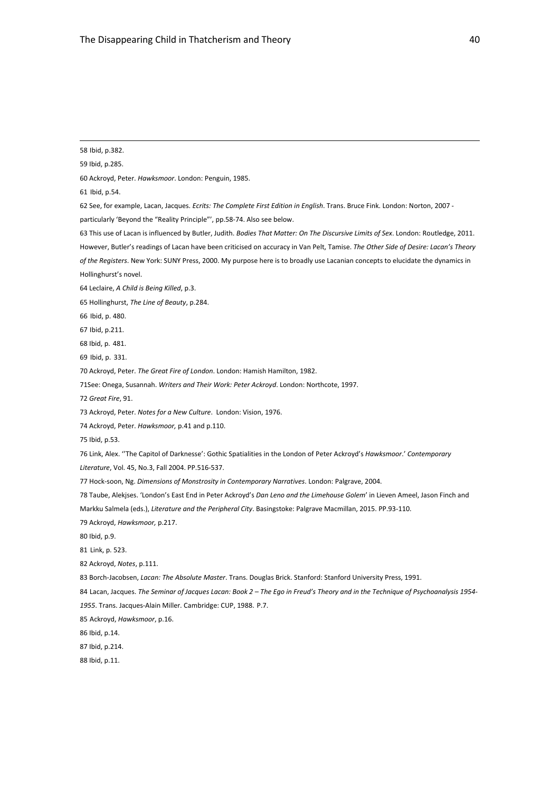<span id="page-40-12"></span><span id="page-40-11"></span><span id="page-40-10"></span><span id="page-40-9"></span><span id="page-40-8"></span><span id="page-40-7"></span><span id="page-40-6"></span><span id="page-40-5"></span><span id="page-40-4"></span><span id="page-40-3"></span><span id="page-40-2"></span><span id="page-40-1"></span><span id="page-40-0"></span> Ibid, p.382. Ibid, p.285. Ackroyd, Peter. *Hawksmoor*. London: Penguin, 1985. Ibid, p.54. See, for example, Lacan, Jacques. *Ecrits: The Complete First Edition in English*. Trans. Bruce Fink. London: Norton, 2007 particularly 'Beyond the "Reality Principle"', pp.58-74. Also see below. This use of Lacan is influenced by Butler, Judith. *Bodies That Matter: On The Discursive Limits of Sex*. London: Routledge, 2011. However, Butler's readings of Lacan have been criticised on accuracy in Van Pelt, Tamise. *The Other Side of Desire: Lacan's Theory of the Registers*. New York: SUNY Press, 2000. My purpose here is to broadly use Lacanian concepts to elucidate the dynamics in Hollinghurst's novel. Leclaire, *A Child is Being Killed*, p.3. Hollinghurst, *The Line of Beauty*, p.284. Ibid, p. 480. Ibid, p.211. Ibid, p. 481. Ibid, p. 331. Ackroyd, Peter. *The Great Fire of London*. London: Hamish Hamilton, 1982. 71See: Onega, Susannah. *Writers and Their Work: Peter Ackroyd*. London: Northcote, 1997. *Great Fire*, 91. Ackroyd, Peter. *Notes for a New Culture*. London: Vision, 1976. Ackroyd, Peter. *Hawksmoor,* p.41 and p.110. Ibid, p.53. Link, Alex. ''The Capitol of Darknesse': Gothic Spatialities in the London of Peter Ackroyd's *Hawksmoor*.' *Contemporary Literature*, Vol. 45, No.3, Fall 2004. PP.516-537. Hock-soon, Ng. *Dimensions of Monstrosity in Contemporary Narratives*. London: Palgrave, 2004. Taube, Alekjses. 'London's East End in Peter Ackroyd's *Dan Leno and the Limehouse Golem*' in Lieven Ameel, Jason Finch and Markku Salmela (eds.), *Literature and the Peripheral City*. Basingstoke: Palgrave Macmillan, 2015. PP.93-110. Ackroyd, *Hawksmoor,* p.217. Ibid, p.9. Link, p. 523. Ackroyd, *Notes*, p.111. Borch-Jacobsen, *Lacan: The Absolute Master*. Trans. Douglas Brick. Stanford: Stanford University Press, 1991. Lacan, Jacques. *The Seminar of Jacques Lacan: Book 2 – The Ego in Freud's Theory and in the Technique of Psychoanalysis 1954-* . Trans. Jacques-Alain Miller. Cambridge: CUP, 1988. P.7. Ackroyd, *Hawksmoor*, p.16.

<span id="page-40-28"></span><span id="page-40-27"></span><span id="page-40-26"></span><span id="page-40-25"></span><span id="page-40-24"></span><span id="page-40-23"></span><span id="page-40-22"></span><span id="page-40-21"></span><span id="page-40-20"></span><span id="page-40-19"></span><span id="page-40-18"></span><span id="page-40-17"></span><span id="page-40-16"></span><span id="page-40-15"></span><span id="page-40-14"></span><span id="page-40-13"></span>Ibid, p.14.

<span id="page-40-29"></span>Ibid, p.214.

<span id="page-40-30"></span>Ibid, p.11.